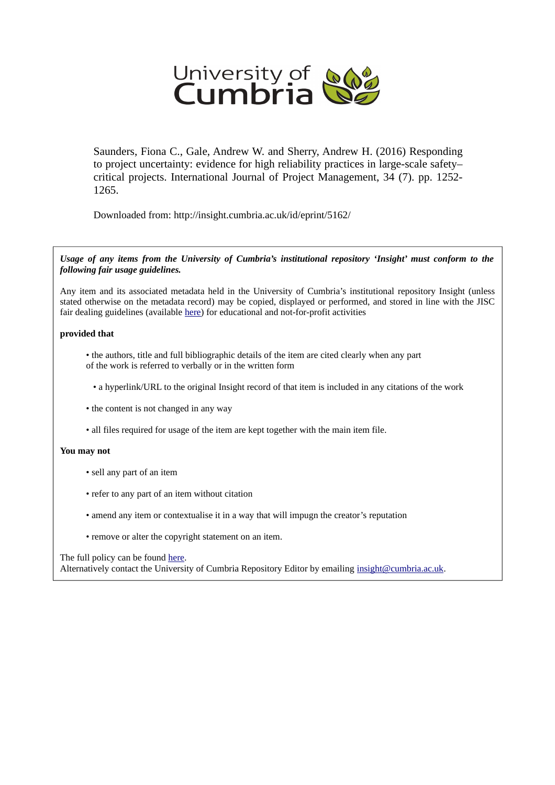

Saunders, Fiona C., Gale, Andrew W. and Sherry, Andrew H. (2016) Responding to project uncertainty: evidence for high reliability practices in large-scale safety– critical projects. International Journal of Project Management, 34 (7). pp. 1252- 1265.

Downloaded from: http://insight.cumbria.ac.uk/id/eprint/5162/

*Usage of any items from the University of Cumbria's institutional repository 'Insight' must conform to the following fair usage guidelines.*

Any item and its associated metadata held in the University of Cumbria's institutional repository Insight (unless stated otherwise on the metadata record) may be copied, displayed or performed, and stored in line with the JISC fair dealing guidelines (available [here\)](http://www.ukoln.ac.uk/services/elib/papers/pa/fair/) for educational and not-for-profit activities

## **provided that**

• the authors, title and full bibliographic details of the item are cited clearly when any part of the work is referred to verbally or in the written form

• a hyperlink/URL to the original Insight record of that item is included in any citations of the work

- the content is not changed in any way
- all files required for usage of the item are kept together with the main item file.

### **You may not**

- sell any part of an item
- refer to any part of an item without citation
- amend any item or contextualise it in a way that will impugn the creator's reputation
- remove or alter the copyright statement on an item.

### The full policy can be found [here.](http://insight.cumbria.ac.uk/legal.html#section5)

Alternatively contact the University of Cumbria Repository Editor by emailing [insight@cumbria.ac.uk.](mailto:insight@cumbria.ac.uk)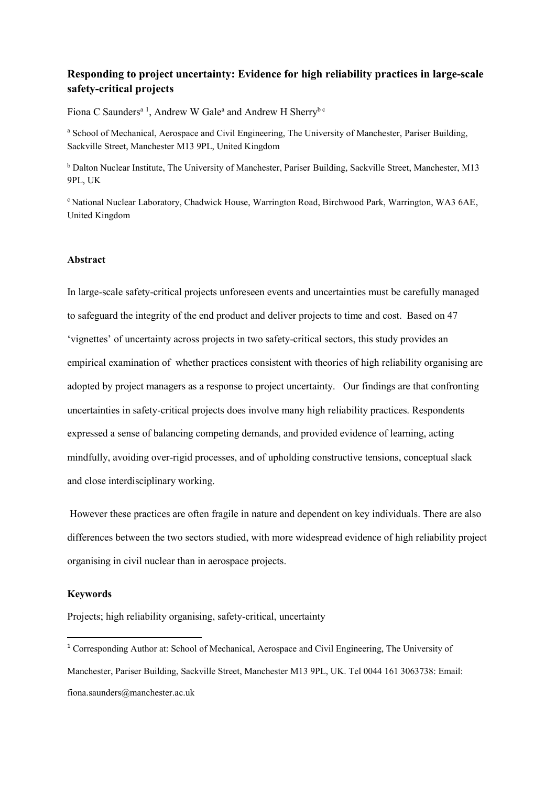# **Responding to project uncertainty: Evidence for high reliability practices in large-scale safety-critical projects**

Fiona C Saunders<sup>a 1</sup>, Andrew W Gale<sup>a</sup> and Andrew H Sherry<sup>b c</sup>

<sup>a</sup> School of Mechanical, Aerospace and Civil Engineering, The University of Manchester, Pariser Building, Sackville Street, Manchester M13 9PL, United Kingdom

<sup>b</sup> Dalton Nuclear Institute, The University of Manchester, Pariser Building, Sackville Street, Manchester, M13 9PL, UK

<sup>c</sup> National Nuclear Laboratory, Chadwick House, Warrington Road, Birchwood Park, Warrington, WA3 6AE, United Kingdom

## **Abstract**

In large-scale safety-critical projects unforeseen events and uncertainties must be carefully managed to safeguard the integrity of the end product and deliver projects to time and cost. Based on 47 'vignettes' of uncertainty across projects in two safety-critical sectors, this study provides an empirical examination of whether practices consistent with theories of high reliability organising are adopted by project managers as a response to project uncertainty. Our findings are that confronting uncertainties in safety-critical projects does involve many high reliability practices. Respondents expressed a sense of balancing competing demands, and provided evidence of learning, acting mindfully, avoiding over-rigid processes, and of upholding constructive tensions, conceptual slack and close interdisciplinary working.

However these practices are often fragile in nature and dependent on key individuals. There are also differences between the two sectors studied, with more widespread evidence of high reliability project organising in civil nuclear than in aerospace projects.

#### **Keywords**

**.** 

Projects; high reliability organising, safety-critical, uncertainty

<sup>1</sup> Corresponding Author at: School of Mechanical, Aerospace and Civil Engineering, The University of Manchester, Pariser Building, Sackville Street, Manchester M13 9PL, UK. Tel 0044 161 3063738: Email: fiona.saunders@manchester.ac.uk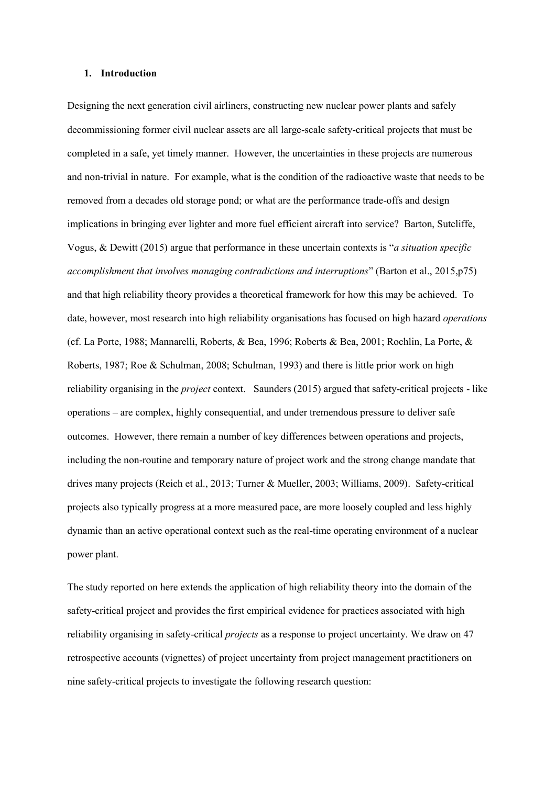### **1. Introduction**

Designing the next generation civil airliners, constructing new nuclear power plants and safely decommissioning former civil nuclear assets are all large-scale safety-critical projects that must be completed in a safe, yet timely manner. However, the uncertainties in these projects are numerous and non-trivial in nature. For example, what is the condition of the radioactive waste that needs to be removed from a decades old storage pond; or what are the performance trade-offs and design implications in bringing ever lighter and more fuel efficient aircraft into service? Barton, Sutcliffe, Vogus, & Dewitt (2015) argue that performance in these uncertain contexts is "*a situation specific accomplishment that involves managing contradictions and interruptions*" (Barton et al., 2015,p75) and that high reliability theory provides a theoretical framework for how this may be achieved. To date, however, most research into high reliability organisations has focused on high hazard *operations* (cf. La Porte, 1988; Mannarelli, Roberts, & Bea, 1996; Roberts & Bea, 2001; Rochlin, La Porte, & Roberts, 1987; Roe & Schulman, 2008; Schulman, 1993) and there is little prior work on high reliability organising in the *project* context. Saunders (2015) argued that safety-critical projects - like operations – are complex, highly consequential, and under tremendous pressure to deliver safe outcomes. However, there remain a number of key differences between operations and projects, including the non-routine and temporary nature of project work and the strong change mandate that drives many projects (Reich et al., 2013; Turner & Mueller, 2003; Williams, 2009). Safety-critical projects also typically progress at a more measured pace, are more loosely coupled and less highly dynamic than an active operational context such as the real-time operating environment of a nuclear power plant.

The study reported on here extends the application of high reliability theory into the domain of the safety-critical project and provides the first empirical evidence for practices associated with high reliability organising in safety-critical *projects* as a response to project uncertainty. We draw on 47 retrospective accounts (vignettes) of project uncertainty from project management practitioners on nine safety-critical projects to investigate the following research question: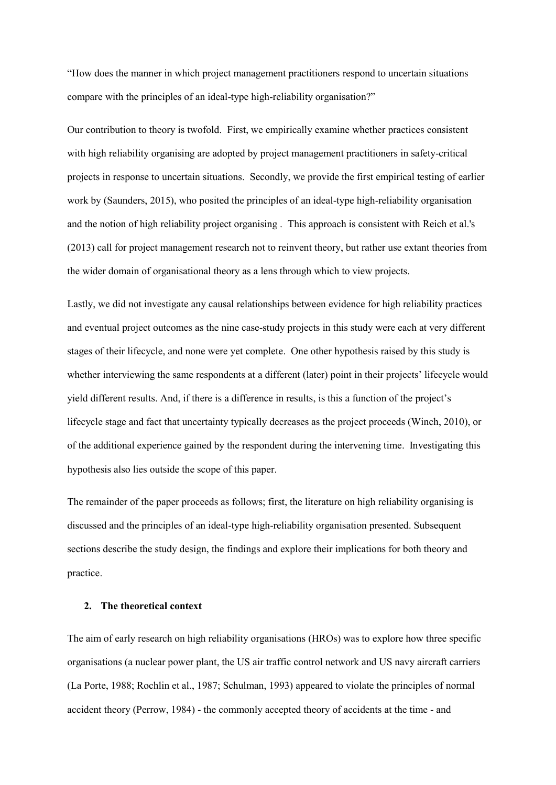"How does the manner in which project management practitioners respond to uncertain situations compare with the principles of an ideal-type high-reliability organisation?"

Our contribution to theory is twofold. First, we empirically examine whether practices consistent with high reliability organising are adopted by project management practitioners in safety-critical projects in response to uncertain situations. Secondly, we provide the first empirical testing of earlier work by (Saunders, 2015), who posited the principles of an ideal-type high-reliability organisation and the notion of high reliability project organising . This approach is consistent with Reich et al.'s (2013) call for project management research not to reinvent theory, but rather use extant theories from the wider domain of organisational theory as a lens through which to view projects.

Lastly, we did not investigate any causal relationships between evidence for high reliability practices and eventual project outcomes as the nine case-study projects in this study were each at very different stages of their lifecycle, and none were yet complete. One other hypothesis raised by this study is whether interviewing the same respondents at a different (later) point in their projects' lifecycle would yield different results. And, if there is a difference in results, is this a function of the project's lifecycle stage and fact that uncertainty typically decreases as the project proceeds (Winch, 2010), or of the additional experience gained by the respondent during the intervening time. Investigating this hypothesis also lies outside the scope of this paper.

The remainder of the paper proceeds as follows; first, the literature on high reliability organising is discussed and the principles of an ideal-type high-reliability organisation presented. Subsequent sections describe the study design, the findings and explore their implications for both theory and practice.

## **2. The theoretical context**

The aim of early research on high reliability organisations (HROs) was to explore how three specific organisations (a nuclear power plant, the US air traffic control network and US navy aircraft carriers (La Porte, 1988; Rochlin et al., 1987; Schulman, 1993) appeared to violate the principles of normal accident theory (Perrow, 1984) - the commonly accepted theory of accidents at the time - and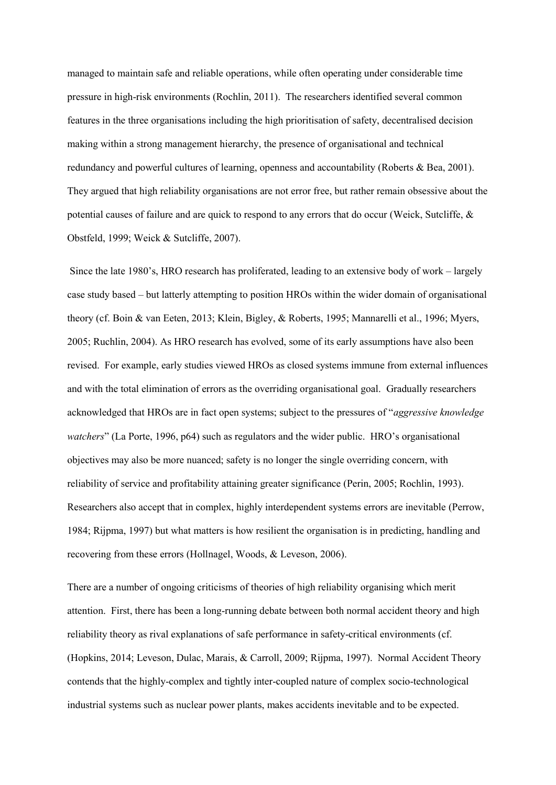managed to maintain safe and reliable operations, while often operating under considerable time pressure in high-risk environments (Rochlin, 2011). The researchers identified several common features in the three organisations including the high prioritisation of safety, decentralised decision making within a strong management hierarchy, the presence of organisational and technical redundancy and powerful cultures of learning, openness and accountability (Roberts & Bea, 2001). They argued that high reliability organisations are not error free, but rather remain obsessive about the potential causes of failure and are quick to respond to any errors that do occur (Weick, Sutcliffe, & Obstfeld, 1999; Weick & Sutcliffe, 2007).

Since the late 1980's, HRO research has proliferated, leading to an extensive body of work – largely case study based – but latterly attempting to position HROs within the wider domain of organisational theory (cf. Boin & van Eeten, 2013; Klein, Bigley, & Roberts, 1995; Mannarelli et al., 1996; Myers, 2005; Ruchlin, 2004). As HRO research has evolved, some of its early assumptions have also been revised. For example, early studies viewed HROs as closed systems immune from external influences and with the total elimination of errors as the overriding organisational goal. Gradually researchers acknowledged that HROs are in fact open systems; subject to the pressures of "*aggressive knowledge watchers*" (La Porte, 1996, p64) such as regulators and the wider public. HRO's organisational objectives may also be more nuanced; safety is no longer the single overriding concern, with reliability of service and profitability attaining greater significance (Perin, 2005; Rochlin, 1993). Researchers also accept that in complex, highly interdependent systems errors are inevitable (Perrow, 1984; Rijpma, 1997) but what matters is how resilient the organisation is in predicting, handling and recovering from these errors (Hollnagel, Woods, & Leveson, 2006).

There are a number of ongoing criticisms of theories of high reliability organising which merit attention. First, there has been a long-running debate between both normal accident theory and high reliability theory as rival explanations of safe performance in safety-critical environments (cf. (Hopkins, 2014; Leveson, Dulac, Marais, & Carroll, 2009; Rijpma, 1997). Normal Accident Theory contends that the highly-complex and tightly inter-coupled nature of complex socio-technological industrial systems such as nuclear power plants, makes accidents inevitable and to be expected.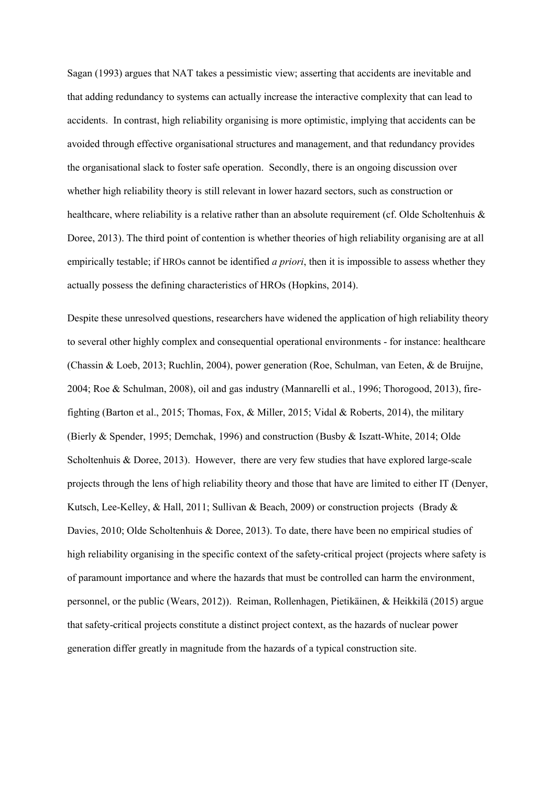Sagan (1993) argues that NAT takes a pessimistic view; asserting that accidents are inevitable and that adding redundancy to systems can actually increase the interactive complexity that can lead to accidents. In contrast, high reliability organising is more optimistic, implying that accidents can be avoided through effective organisational structures and management, and that redundancy provides the organisational slack to foster safe operation. Secondly, there is an ongoing discussion over whether high reliability theory is still relevant in lower hazard sectors, such as construction or healthcare, where reliability is a relative rather than an absolute requirement (cf. Olde Scholtenhuis & Doree, 2013). The third point of contention is whether theories of high reliability organising are at all empirically testable; if HROs cannot be identified *a priori*, then it is impossible to assess whether they actually possess the defining characteristics of HROs (Hopkins, 2014).

Despite these unresolved questions, researchers have widened the application of high reliability theory to several other highly complex and consequential operational environments - for instance: healthcare (Chassin & Loeb, 2013; Ruchlin, 2004), power generation (Roe, Schulman, van Eeten, & de Bruijne, 2004; Roe & Schulman, 2008), oil and gas industry (Mannarelli et al., 1996; Thorogood, 2013), firefighting (Barton et al., 2015; Thomas, Fox, & Miller, 2015; Vidal & Roberts, 2014), the military (Bierly & Spender, 1995; Demchak, 1996) and construction (Busby & Iszatt-White, 2014; Olde Scholtenhuis & Doree, 2013). However, there are very few studies that have explored large-scale projects through the lens of high reliability theory and those that have are limited to either IT (Denyer, Kutsch, Lee-Kelley, & Hall, 2011; Sullivan & Beach, 2009) or construction projects (Brady & Davies, 2010; Olde Scholtenhuis & Doree, 2013). To date, there have been no empirical studies of high reliability organising in the specific context of the safety-critical project (projects where safety is of paramount importance and where the hazards that must be controlled can harm the environment, personnel, or the public (Wears, 2012)). Reiman, Rollenhagen, Pietikäinen, & Heikkilä (2015) argue that safety-critical projects constitute a distinct project context, as the hazards of nuclear power generation differ greatly in magnitude from the hazards of a typical construction site.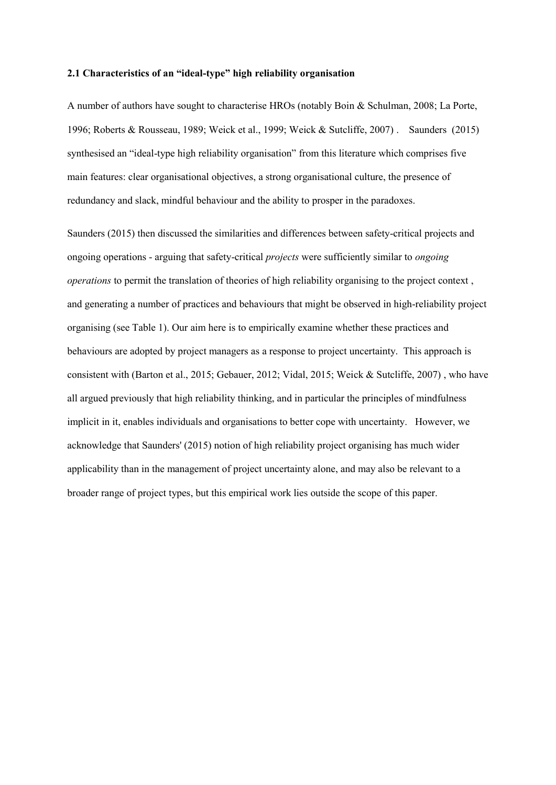#### **2.1 Characteristics of an "ideal-type" high reliability organisation**

A number of authors have sought to characterise HROs (notably Boin & Schulman, 2008; La Porte, 1996; Roberts & Rousseau, 1989; Weick et al., 1999; Weick & Sutcliffe, 2007) . Saunders (2015) synthesised an "ideal-type high reliability organisation" from this literature which comprises five main features: clear organisational objectives, a strong organisational culture, the presence of redundancy and slack, mindful behaviour and the ability to prosper in the paradoxes.

Saunders (2015) then discussed the similarities and differences between safety-critical projects and ongoing operations - arguing that safety-critical *projects* were sufficiently similar to *ongoing operations* to permit the translation of theories of high reliability organising to the project context , and generating a number of practices and behaviours that might be observed in high-reliability project organising (see Table 1). Our aim here is to empirically examine whether these practices and behaviours are adopted by project managers as a response to project uncertainty. This approach is consistent with (Barton et al., 2015; Gebauer, 2012; Vidal, 2015; Weick & Sutcliffe, 2007) , who have all argued previously that high reliability thinking, and in particular the principles of mindfulness implicit in it, enables individuals and organisations to better cope with uncertainty. However, we acknowledge that Saunders' (2015) notion of high reliability project organising has much wider applicability than in the management of project uncertainty alone, and may also be relevant to a broader range of project types, but this empirical work lies outside the scope of this paper.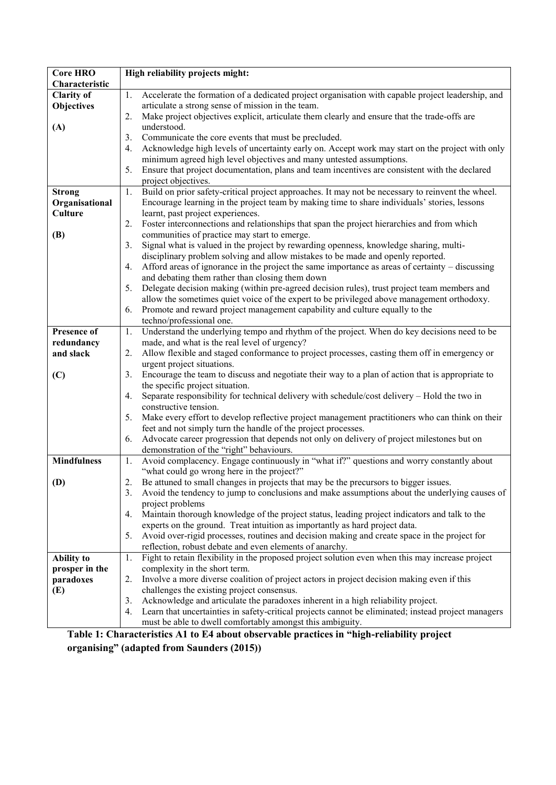| <b>Core HRO</b>                     | High reliability projects might:                                                                                                                            |
|-------------------------------------|-------------------------------------------------------------------------------------------------------------------------------------------------------------|
| Characteristic                      |                                                                                                                                                             |
| <b>Clarity of</b>                   | Accelerate the formation of a dedicated project organisation with capable project leadership, and<br>1.                                                     |
| <b>Objectives</b>                   | articulate a strong sense of mission in the team.                                                                                                           |
|                                     | Make project objectives explicit, articulate them clearly and ensure that the trade-offs are<br>2.                                                          |
| (A)                                 | understood.                                                                                                                                                 |
|                                     | Communicate the core events that must be precluded.<br>3.                                                                                                   |
|                                     | Acknowledge high levels of uncertainty early on. Accept work may start on the project with only<br>4.                                                       |
|                                     | minimum agreed high level objectives and many untested assumptions.                                                                                         |
|                                     | Ensure that project documentation, plans and team incentives are consistent with the declared<br>5.                                                         |
|                                     | project objectives.                                                                                                                                         |
| <b>Strong</b>                       | Build on prior safety-critical project approaches. It may not be necessary to reinvent the wheel.<br>1.                                                     |
| Organisational                      | Encourage learning in the project team by making time to share individuals' stories, lessons                                                                |
| <b>Culture</b>                      | learnt, past project experiences.                                                                                                                           |
|                                     | Foster interconnections and relationships that span the project hierarchies and from which<br>2.                                                            |
| (B)                                 | communities of practice may start to emerge.                                                                                                                |
|                                     | Signal what is valued in the project by rewarding openness, knowledge sharing, multi-<br>3.                                                                 |
|                                     | disciplinary problem solving and allow mistakes to be made and openly reported.                                                                             |
|                                     | Afford areas of ignorance in the project the same importance as areas of certainty – discussing<br>4.                                                       |
|                                     | and debating them rather than closing them down                                                                                                             |
|                                     | Delegate decision making (within pre-agreed decision rules), trust project team members and<br>5.                                                           |
|                                     | allow the sometimes quiet voice of the expert to be privileged above management orthodoxy.                                                                  |
|                                     | Promote and reward project management capability and culture equally to the<br>6.                                                                           |
|                                     | techno/professional one.                                                                                                                                    |
| Presence of                         | Understand the underlying tempo and rhythm of the project. When do key decisions need to be<br>1.                                                           |
| redundancy                          | made, and what is the real level of urgency?                                                                                                                |
| and slack                           | Allow flexible and staged conformance to project processes, casting them off in emergency or<br>2.<br>urgent project situations.                            |
| (C)                                 | Encourage the team to discuss and negotiate their way to a plan of action that is appropriate to<br>3.                                                      |
|                                     | the specific project situation.                                                                                                                             |
|                                     | Separate responsibility for technical delivery with schedule/cost delivery – Hold the two in<br>4.                                                          |
|                                     | constructive tension.                                                                                                                                       |
|                                     | Make every effort to develop reflective project management practitioners who can think on their<br>5.                                                       |
|                                     | feet and not simply turn the handle of the project processes.                                                                                               |
|                                     | Advocate career progression that depends not only on delivery of project milestones but on<br>6.                                                            |
|                                     | demonstration of the "right" behaviours.                                                                                                                    |
| <b>Mindfulness</b>                  | Avoid complacency. Engage continuously in "what if?" questions and worry constantly about<br>1.                                                             |
|                                     | "what could go wrong here in the project?"                                                                                                                  |
| <b>(D)</b>                          | Be attuned to small changes in projects that may be the precursors to bigger issues.<br>2.                                                                  |
|                                     | Avoid the tendency to jump to conclusions and make assumptions about the underlying causes of<br>3.                                                         |
|                                     | project problems                                                                                                                                            |
|                                     | Maintain thorough knowledge of the project status, leading project indicators and talk to the<br>4.                                                         |
|                                     | experts on the ground. Treat intuition as importantly as hard project data.                                                                                 |
|                                     | Avoid over-rigid processes, routines and decision making and create space in the project for<br>5.                                                          |
|                                     | reflection, robust debate and even elements of anarchy.<br>Fight to retain flexibility in the proposed project solution even when this may increase project |
| <b>Ability to</b><br>prosper in the | 1.<br>complexity in the short term.                                                                                                                         |
| paradoxes                           | Involve a more diverse coalition of project actors in project decision making even if this<br>2.                                                            |
| (E)                                 | challenges the existing project consensus.                                                                                                                  |
|                                     | Acknowledge and articulate the paradoxes inherent in a high reliability project.<br>3.                                                                      |
|                                     | Learn that uncertainties in safety-critical projects cannot be eliminated; instead project managers<br>4.                                                   |
|                                     | must be able to dwell comfortably amongst this ambiguity.                                                                                                   |
|                                     |                                                                                                                                                             |

**Table 1: Characteristics A1 to E4 about observable practices in "high-reliability project organising" (adapted from Saunders (2015))**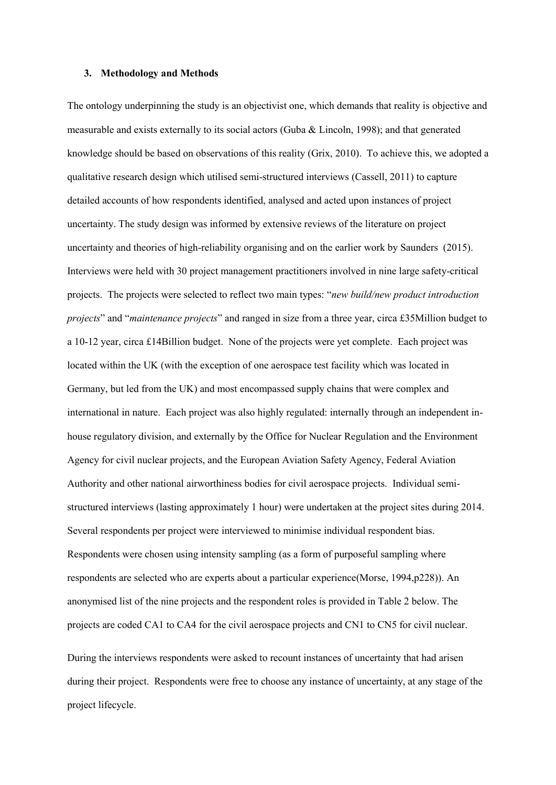### **3. Methodology and Methods**

The ontology underpinning the study is an objectivist one, which demands that reality is objective and measurable and exists externally to its social actors (Guba  $& Lincoln, 1998$ ); and that generated knowledge should be based on observations of this reality (Grix, 2010). To achieve this, we adopted a qualitative research design which utilised semi-structured interviews (Cassell, 2011) to capture detailed accounts of how respondents identified, analysed and acted upon instances of project uncertainty. The study design was informed by extensive reviews of the literature on project uncertainty and theories of high-reliability organising and on the earlier work by Saunders (2015). Interviews were held with 30 project management practitioners involved in nine large safety-critical projects. The projects were selected to reflect two main types: "*new build/new product introduction projects*" and "*maintenance projects*" and ranged in size from a three year, circa £35Million budget to a 10-12 year, circa £14Billion budget. None of the projects were yet complete. Each project was located within the UK (with the exception of one aerospace test facility which was located in Germany, but led from the UK) and most encompassed supply chains that were complex and international in nature. Each project was also highly regulated: internally through an independent inhouse regulatory division, and externally by the Office for Nuclear Regulation and the Environment Agency for civil nuclear projects, and the European Aviation Safety Agency, Federal Aviation Authority and other national airworthiness bodies for civil aerospace projects. Individual semistructured interviews (lasting approximately 1 hour) were undertaken at the project sites during 2014. Several respondents per project were interviewed to minimise individual respondent bias. Respondents were chosen using intensity sampling (as a form of purposeful sampling where respondents are selected who are experts about a particular experience(Morse, 1994,p228)). An anonymised list of the nine projects and the respondent roles is provided in Table 2 below. The projects are coded CA1 to CA4 for the civil aerospace projects and CN1 to CN5 for civil nuclear.

During the interviews respondents were asked to recount instances of uncertainty that had arisen during their project. Respondents were free to choose any instance of uncertainty, at any stage of the project lifecycle.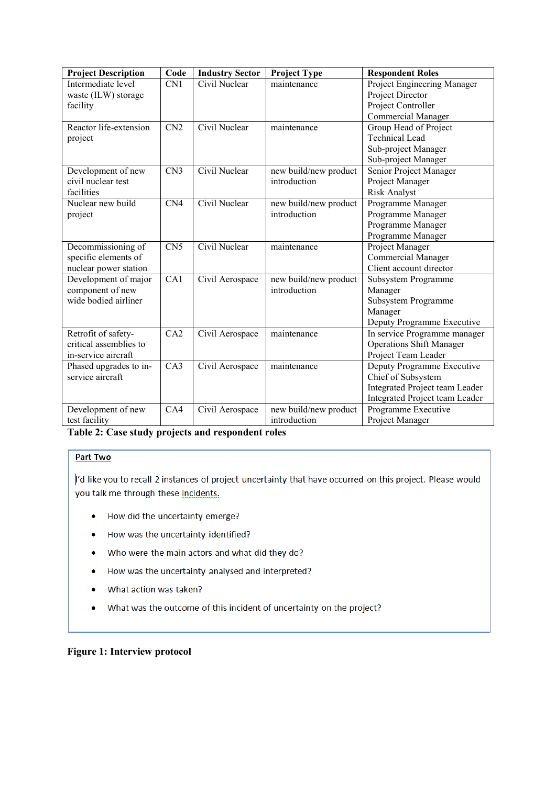| <b>Project Description</b> | Code             | <b>Industry Sector</b> | <b>Project Type</b>   | <b>Respondent Roles</b>         |
|----------------------------|------------------|------------------------|-----------------------|---------------------------------|
| Intermediate level         | CN1              | Civil Nuclear          | maintenance           | Project Engineering Manager     |
| waste (ILW) storage        |                  |                        |                       | Project Director                |
| facility                   |                  |                        |                       | Project Controller              |
|                            |                  |                        |                       | <b>Commercial Manager</b>       |
| Reactor life-extension     | CN2              | Civil Nuclear          | maintenance           | Group Head of Project           |
| project                    |                  |                        |                       | <b>Technical Lead</b>           |
|                            |                  |                        |                       | Sub-project Manager             |
|                            |                  |                        |                       | Sub-project Manager             |
| Development of new         | CN3              | Civil Nuclear          | new build/new product | Senior Project Manager          |
| civil nuclear test         |                  |                        | introduction          | Project Manager                 |
| facilities                 |                  |                        |                       | <b>Risk Analyst</b>             |
| Nuclear new build          | CN4              | Civil Nuclear          | new build/new product | Programme Manager               |
| project                    |                  |                        | introduction          | Programme Manager               |
|                            |                  |                        |                       | Programme Manager               |
|                            |                  |                        |                       | Programme Manager               |
| Decommissioning of         | CN <sub>5</sub>  | Civil Nuclear          | maintenance           | Project Manager                 |
| specific elements of       |                  |                        |                       | <b>Commercial Manager</b>       |
| nuclear power station      |                  |                        |                       | Client account director         |
| Development of major       | $\overline{CA1}$ | Civil Aerospace        | new build/new product | Subsystem Programme             |
| component of new           |                  |                        | introduction          | Manager                         |
| wide bodied airliner       |                  |                        |                       | Subsystem Programme             |
|                            |                  |                        |                       | Manager                         |
|                            |                  |                        |                       | Deputy Programme Executive      |
| Retrofit of safety-        | CA2              | Civil Aerospace        | maintenance           | In service Programme manager    |
| critical assemblies to     |                  |                        |                       | <b>Operations Shift Manager</b> |
| in-service aircraft        |                  |                        |                       | Project Team Leader             |
| Phased upgrades to in-     | CA3              | Civil Aerospace        | maintenance           | Deputy Programme Executive      |
| service aircraft           |                  |                        |                       | Chief of Subsystem              |
|                            |                  |                        |                       | Integrated Project team Leader  |
|                            |                  |                        |                       | Integrated Project team Leader  |
| Development of new         | CA4              | Civil Aerospace        | new build/new product | Programme Executive             |
| test facility              |                  |                        | introduction          | Project Manager                 |

# **Table 2: Case study projects and respondent roles**

# Part Two

I'd like you to recall 2 instances of project uncertainty that have occurred on this project. Please would you talk me through these incidents.

- How did the uncertainty emerge?  $\bullet$
- How was the uncertainty identified?  $\bullet$
- Who were the main actors and what did they do?  $\bullet$
- How was the uncertainty analysed and interpreted?  $\bullet$
- What action was taken?
- What was the outcome of this incident of uncertainty on the project?  $\bullet$

## **Figure 1: Interview protocol**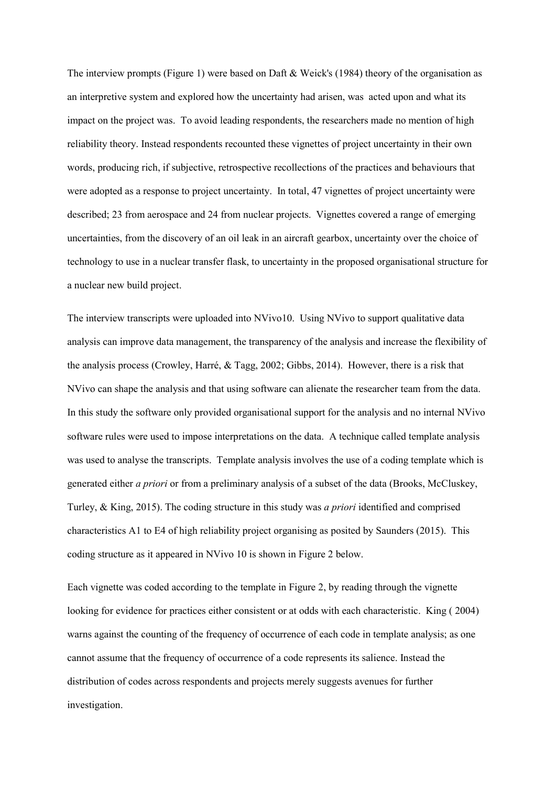The interview prompts (Figure 1) were based on Daft & Weick's (1984) theory of the organisation as an interpretive system and explored how the uncertainty had arisen, was acted upon and what its impact on the project was. To avoid leading respondents, the researchers made no mention of high reliability theory. Instead respondents recounted these vignettes of project uncertainty in their own words, producing rich, if subjective, retrospective recollections of the practices and behaviours that were adopted as a response to project uncertainty. In total, 47 vignettes of project uncertainty were described; 23 from aerospace and 24 from nuclear projects. Vignettes covered a range of emerging uncertainties, from the discovery of an oil leak in an aircraft gearbox, uncertainty over the choice of technology to use in a nuclear transfer flask, to uncertainty in the proposed organisational structure for a nuclear new build project.

The interview transcripts were uploaded into NVivo10. Using NVivo to support qualitative data analysis can improve data management, the transparency of the analysis and increase the flexibility of the analysis process (Crowley, Harré, & Tagg, 2002; Gibbs, 2014). However, there is a risk that NVivo can shape the analysis and that using software can alienate the researcher team from the data. In this study the software only provided organisational support for the analysis and no internal NVivo software rules were used to impose interpretations on the data. A technique called template analysis was used to analyse the transcripts. Template analysis involves the use of a coding template which is generated either *a priori* or from a preliminary analysis of a subset of the data (Brooks, McCluskey, Turley, & King, 2015). The coding structure in this study was *a priori* identified and comprised characteristics A1 to E4 of high reliability project organising as posited by Saunders (2015). This coding structure as it appeared in NVivo 10 is shown in Figure 2 below.

Each vignette was coded according to the template in Figure 2, by reading through the vignette looking for evidence for practices either consistent or at odds with each characteristic. King ( 2004) warns against the counting of the frequency of occurrence of each code in template analysis; as one cannot assume that the frequency of occurrence of a code represents its salience. Instead the distribution of codes across respondents and projects merely suggests avenues for further investigation.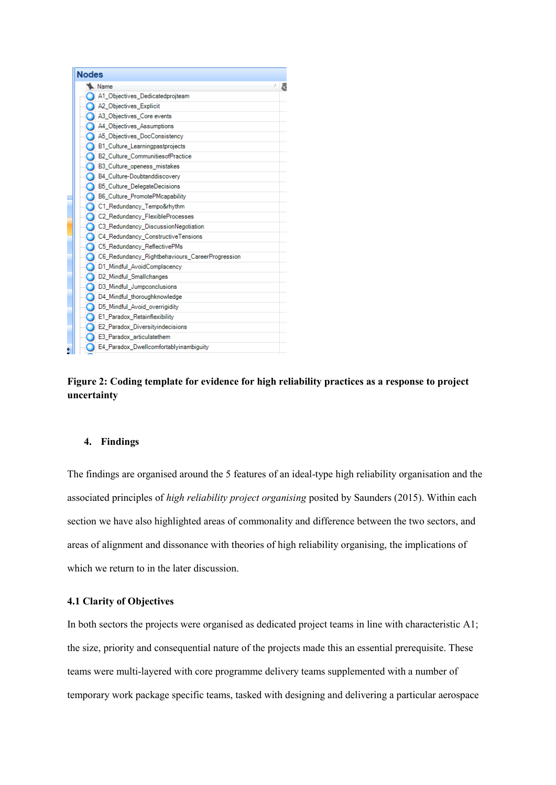|   | <b>Nodes</b>                                    |   |
|---|-------------------------------------------------|---|
|   | Name                                            | ā |
|   | A1_Objectives_Dedicatedproiteam                 |   |
|   | A2 Objectives Explicit                          |   |
|   | A3 Objectives Core events                       |   |
|   | A4_Objectives_Assumptions                       |   |
|   | A5 Objectives DocConsistency<br>о               |   |
|   | B1_Culture_Learningpastprojects                 |   |
|   | <b>B2 Culture CommunitiesofPractice</b>         |   |
|   | <b>B3</b> Culture openess mistakes              |   |
|   | B4 Culture-Doubtanddiscovery                    |   |
|   | <b>B5 Culture DelegateDecisions</b>             |   |
|   | B6 Culture PromotePMcapability                  |   |
|   | C1_Redundancy_Tempo&rhythm                      |   |
|   | C2_Redundancy_FlexibleProcesses                 |   |
|   | C3 Redundancy DiscussionNegotiation             |   |
|   | C4_Redundancy_ConstructiveTensions              |   |
|   | C5 Redundancy ReflectivePMs                     |   |
|   | C6 Redundancy Rightbehaviours CareerProgression |   |
|   | D1_Mindful_AvoidComplacency                     |   |
|   | D2_Mindful_Smallchanges                         |   |
|   | D3 Mindful Jumpconclusions                      |   |
|   | D4 Mindful thoroughknowledge                    |   |
|   | D5_Mindful_Avoid_overrigidity                   |   |
|   | E1 Paradox Retainflexibility                    |   |
|   | E2 Paradox Diversityindecisions                 |   |
|   | E3 Paradox articulatethem                       |   |
| r | E4 Paradox Dwellcomfortablyinambiquity          |   |

# **Figure 2: Coding template for evidence for high reliability practices as a response to project uncertainty**

## **4. Findings**

The findings are organised around the 5 features of an ideal-type high reliability organisation and the associated principles of *high reliability project organising* posited by Saunders (2015). Within each section we have also highlighted areas of commonality and difference between the two sectors, and areas of alignment and dissonance with theories of high reliability organising, the implications of which we return to in the later discussion.

## **4.1 Clarity of Objectives**

In both sectors the projects were organised as dedicated project teams in line with characteristic A1; the size, priority and consequential nature of the projects made this an essential prerequisite. These teams were multi-layered with core programme delivery teams supplemented with a number of temporary work package specific teams, tasked with designing and delivering a particular aerospace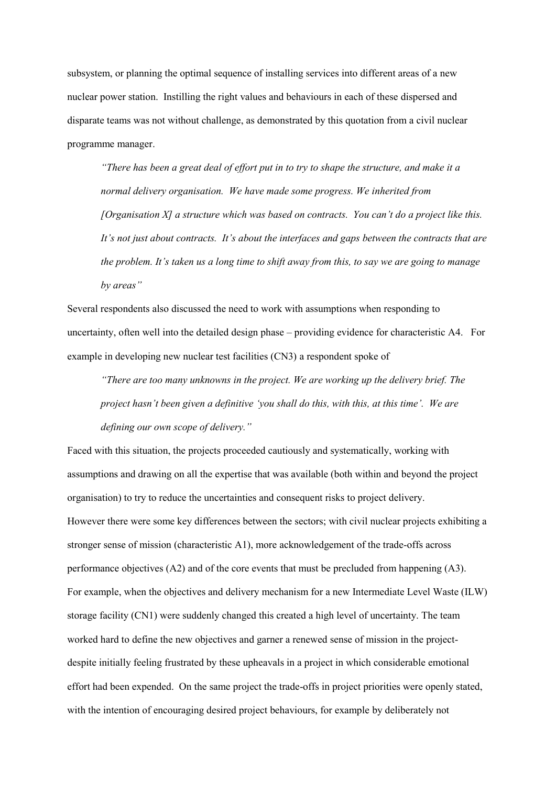subsystem, or planning the optimal sequence of installing services into different areas of a new nuclear power station. Instilling the right values and behaviours in each of these dispersed and disparate teams was not without challenge, as demonstrated by this quotation from a civil nuclear programme manager.

*"There has been a great deal of effort put in to try to shape the structure, and make it a normal delivery organisation. We have made some progress. We inherited from [Organisation X] a structure which was based on contracts. You can't do a project like this. It's not just about contracts. It's about the interfaces and gaps between the contracts that are the problem. It's taken us a long time to shift away from this, to say we are going to manage by areas"*

Several respondents also discussed the need to work with assumptions when responding to uncertainty, often well into the detailed design phase – providing evidence for characteristic A4. For example in developing new nuclear test facilities (CN3) a respondent spoke of

*"There are too many unknowns in the project. We are working up the delivery brief. The project hasn't been given a definitive 'you shall do this, with this, at this time'. We are defining our own scope of delivery."* 

Faced with this situation, the projects proceeded cautiously and systematically, working with assumptions and drawing on all the expertise that was available (both within and beyond the project organisation) to try to reduce the uncertainties and consequent risks to project delivery. However there were some key differences between the sectors; with civil nuclear projects exhibiting a stronger sense of mission (characteristic A1), more acknowledgement of the trade-offs across performance objectives (A2) and of the core events that must be precluded from happening (A3). For example, when the objectives and delivery mechanism for a new Intermediate Level Waste (ILW) storage facility (CN1) were suddenly changed this created a high level of uncertainty. The team worked hard to define the new objectives and garner a renewed sense of mission in the projectdespite initially feeling frustrated by these upheavals in a project in which considerable emotional effort had been expended. On the same project the trade-offs in project priorities were openly stated, with the intention of encouraging desired project behaviours, for example by deliberately not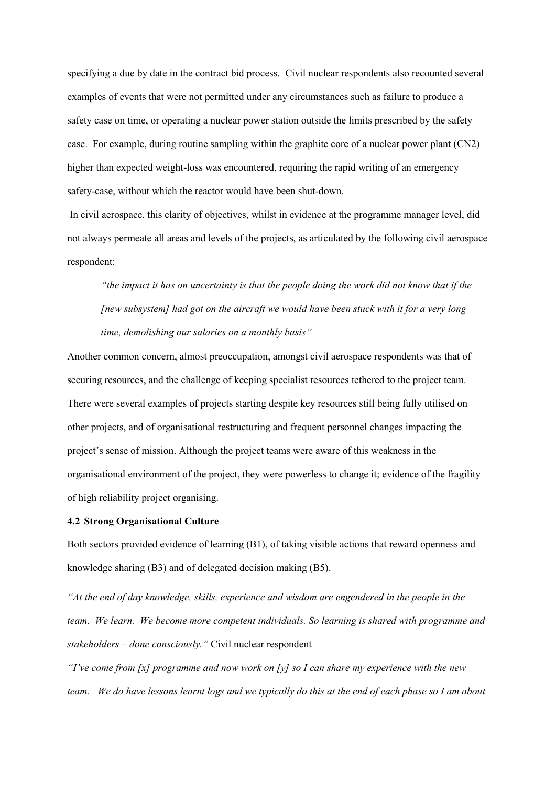specifying a due by date in the contract bid process. Civil nuclear respondents also recounted several examples of events that were not permitted under any circumstances such as failure to produce a safety case on time, or operating a nuclear power station outside the limits prescribed by the safety case. For example, during routine sampling within the graphite core of a nuclear power plant (CN2) higher than expected weight-loss was encountered, requiring the rapid writing of an emergency safety-case, without which the reactor would have been shut-down.

In civil aerospace, this clarity of objectives, whilst in evidence at the programme manager level, did not always permeate all areas and levels of the projects, as articulated by the following civil aerospace respondent:

*"the impact it has on uncertainty is that the people doing the work did not know that if the [new subsystem] had got on the aircraft we would have been stuck with it for a very long time, demolishing our salaries on a monthly basis"*

Another common concern, almost preoccupation, amongst civil aerospace respondents was that of securing resources, and the challenge of keeping specialist resources tethered to the project team. There were several examples of projects starting despite key resources still being fully utilised on other projects, and of organisational restructuring and frequent personnel changes impacting the project's sense of mission. Although the project teams were aware of this weakness in the organisational environment of the project, they were powerless to change it; evidence of the fragility of high reliability project organising.

# **4.2 Strong Organisational Culture**

Both sectors provided evidence of learning (B1), of taking visible actions that reward openness and knowledge sharing (B3) and of delegated decision making (B5).

*"At the end of day knowledge, skills, experience and wisdom are engendered in the people in the team. We learn. We become more competent individuals. So learning is shared with programme and stakeholders – done consciously."* Civil nuclear respondent

*"I've come from [x] programme and now work on [y] so I can share my experience with the new team. We do have lessons learnt logs and we typically do this at the end of each phase so I am about*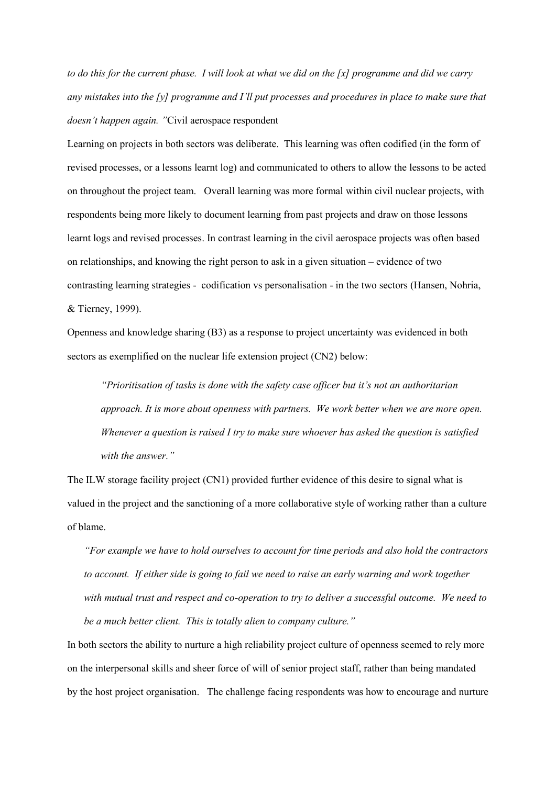*to do this for the current phase. I will look at what we did on the [x] programme and did we carry any mistakes into the [y] programme and I'll put processes and procedures in place to make sure that doesn't happen again. "*Civil aerospace respondent

Learning on projects in both sectors was deliberate. This learning was often codified (in the form of revised processes, or a lessons learnt log) and communicated to others to allow the lessons to be acted on throughout the project team. Overall learning was more formal within civil nuclear projects, with respondents being more likely to document learning from past projects and draw on those lessons learnt logs and revised processes. In contrast learning in the civil aerospace projects was often based on relationships, and knowing the right person to ask in a given situation – evidence of two contrasting learning strategies - codification vs personalisation - in the two sectors (Hansen, Nohria, & Tierney, 1999).

Openness and knowledge sharing (B3) as a response to project uncertainty was evidenced in both sectors as exemplified on the nuclear life extension project (CN2) below:

*"Prioritisation of tasks is done with the safety case officer but it's not an authoritarian approach. It is more about openness with partners. We work better when we are more open. Whenever a question is raised I try to make sure whoever has asked the question is satisfied with the answer."* 

The ILW storage facility project (CN1) provided further evidence of this desire to signal what is valued in the project and the sanctioning of a more collaborative style of working rather than a culture of blame.

*"For example we have to hold ourselves to account for time periods and also hold the contractors to account. If either side is going to fail we need to raise an early warning and work together with mutual trust and respect and co-operation to try to deliver a successful outcome. We need to be a much better client. This is totally alien to company culture."* 

In both sectors the ability to nurture a high reliability project culture of openness seemed to rely more on the interpersonal skills and sheer force of will of senior project staff, rather than being mandated by the host project organisation. The challenge facing respondents was how to encourage and nurture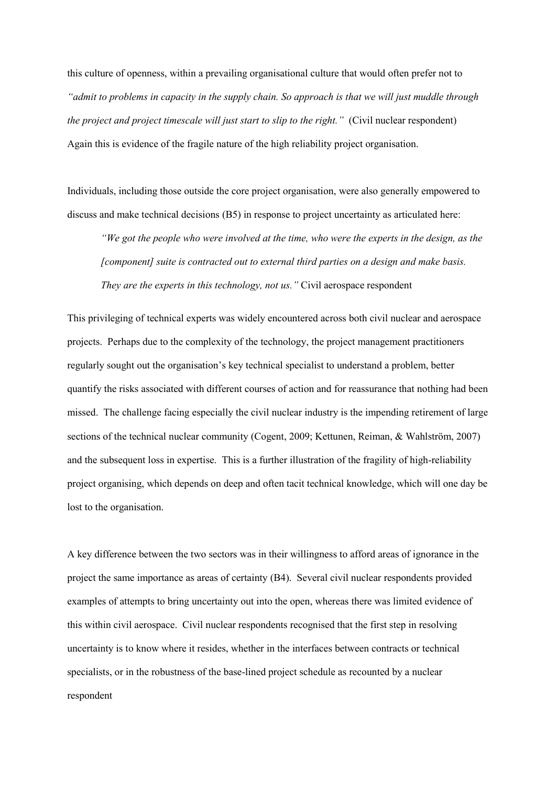this culture of openness, within a prevailing organisational culture that would often prefer not to *"admit to problems in capacity in the supply chain. So approach is that we will just muddle through the project and project timescale will just start to slip to the right."* (Civil nuclear respondent) Again this is evidence of the fragile nature of the high reliability project organisation.

Individuals, including those outside the core project organisation, were also generally empowered to discuss and make technical decisions (B5) in response to project uncertainty as articulated here:

*"We got the people who were involved at the time, who were the experts in the design, as the [component] suite is contracted out to external third parties on a design and make basis. They are the experts in this technology, not us."* Civil aerospace respondent

This privileging of technical experts was widely encountered across both civil nuclear and aerospace projects. Perhaps due to the complexity of the technology, the project management practitioners regularly sought out the organisation's key technical specialist to understand a problem, better quantify the risks associated with different courses of action and for reassurance that nothing had been missed. The challenge facing especially the civil nuclear industry is the impending retirement of large sections of the technical nuclear community (Cogent, 2009; Kettunen, Reiman, & Wahlström, 2007) and the subsequent loss in expertise. This is a further illustration of the fragility of high-reliability project organising, which depends on deep and often tacit technical knowledge, which will one day be lost to the organisation.

A key difference between the two sectors was in their willingness to afford areas of ignorance in the project the same importance as areas of certainty (B4). Several civil nuclear respondents provided examples of attempts to bring uncertainty out into the open, whereas there was limited evidence of this within civil aerospace. Civil nuclear respondents recognised that the first step in resolving uncertainty is to know where it resides, whether in the interfaces between contracts or technical specialists, or in the robustness of the base-lined project schedule as recounted by a nuclear respondent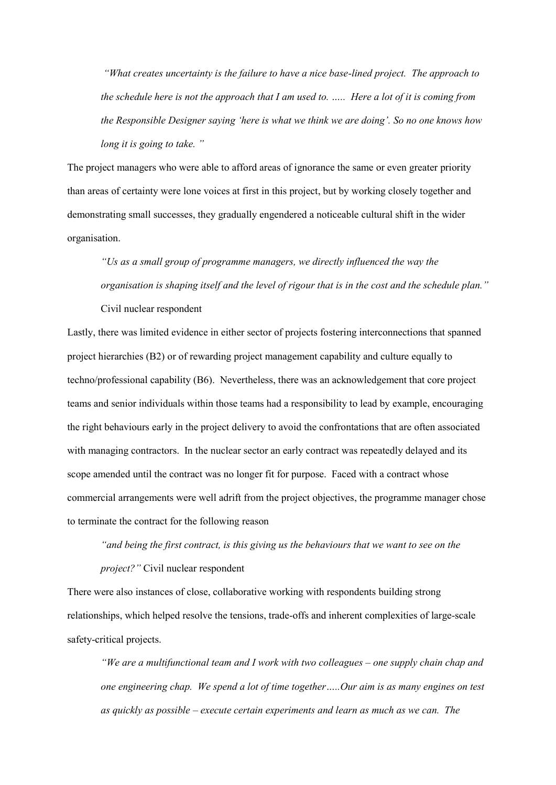*"What creates uncertainty is the failure to have a nice base-lined project. The approach to the schedule here is not the approach that I am used to. ….. Here a lot of it is coming from the Responsible Designer saying 'here is what we think we are doing'. So no one knows how long it is going to take. "* 

The project managers who were able to afford areas of ignorance the same or even greater priority than areas of certainty were lone voices at first in this project, but by working closely together and demonstrating small successes, they gradually engendered a noticeable cultural shift in the wider organisation.

*"Us as a small group of programme managers, we directly influenced the way the organisation is shaping itself and the level of rigour that is in the cost and the schedule plan."*

Civil nuclear respondent

Lastly, there was limited evidence in either sector of projects fostering interconnections that spanned project hierarchies (B2) or of rewarding project management capability and culture equally to techno/professional capability (B6). Nevertheless, there was an acknowledgement that core project teams and senior individuals within those teams had a responsibility to lead by example, encouraging the right behaviours early in the project delivery to avoid the confrontations that are often associated with managing contractors. In the nuclear sector an early contract was repeatedly delayed and its scope amended until the contract was no longer fit for purpose. Faced with a contract whose commercial arrangements were well adrift from the project objectives, the programme manager chose to terminate the contract for the following reason

*"and being the first contract, is this giving us the behaviours that we want to see on the project?"* Civil nuclear respondent

There were also instances of close, collaborative working with respondents building strong relationships, which helped resolve the tensions, trade-offs and inherent complexities of large-scale safety-critical projects.

*"We are a multifunctional team and I work with two colleagues – one supply chain chap and one engineering chap. We spend a lot of time together…..Our aim is as many engines on test as quickly as possible – execute certain experiments and learn as much as we can. The*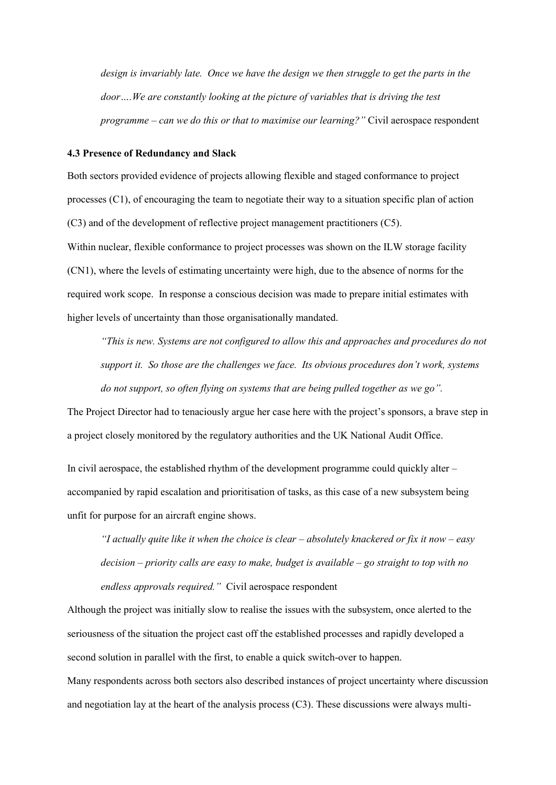*design is invariably late. Once we have the design we then struggle to get the parts in the door….We are constantly looking at the picture of variables that is driving the test programme – can we do this or that to maximise our learning?"* Civil aerospace respondent

### **4.3 Presence of Redundancy and Slack**

Both sectors provided evidence of projects allowing flexible and staged conformance to project processes (C1), of encouraging the team to negotiate their way to a situation specific plan of action (C3) and of the development of reflective project management practitioners (C5). Within nuclear, flexible conformance to project processes was shown on the ILW storage facility (CN1), where the levels of estimating uncertainty were high, due to the absence of norms for the required work scope. In response a conscious decision was made to prepare initial estimates with higher levels of uncertainty than those organisationally mandated.

*"This is new. Systems are not configured to allow this and approaches and procedures do not support it. So those are the challenges we face. Its obvious procedures don't work, systems do not support, so often flying on systems that are being pulled together as we go".* 

The Project Director had to tenaciously argue her case here with the project's sponsors, a brave step in a project closely monitored by the regulatory authorities and the UK National Audit Office.

In civil aerospace, the established rhythm of the development programme could quickly alter – accompanied by rapid escalation and prioritisation of tasks, as this case of a new subsystem being unfit for purpose for an aircraft engine shows.

*"I actually quite like it when the choice is clear – absolutely knackered or fix it now – easy decision – priority calls are easy to make, budget is available – go straight to top with no endless approvals required."* Civil aerospace respondent

Although the project was initially slow to realise the issues with the subsystem, once alerted to the seriousness of the situation the project cast off the established processes and rapidly developed a second solution in parallel with the first, to enable a quick switch-over to happen.

Many respondents across both sectors also described instances of project uncertainty where discussion and negotiation lay at the heart of the analysis process (C3). These discussions were always multi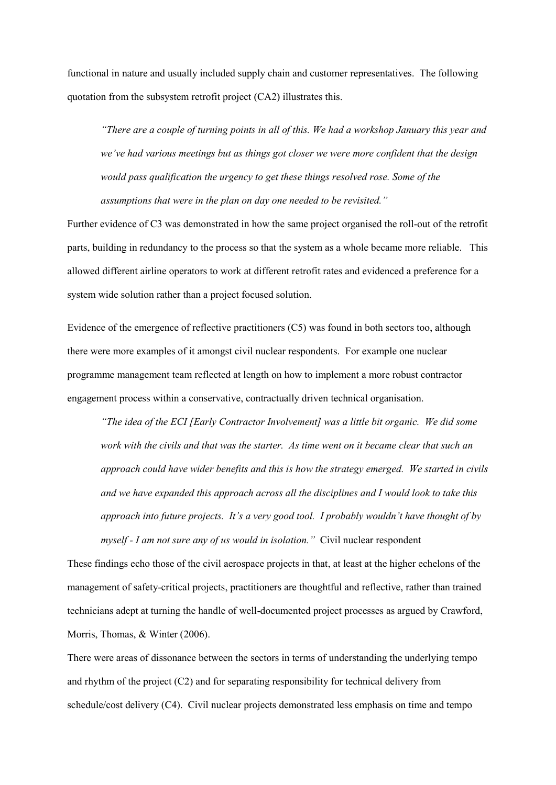functional in nature and usually included supply chain and customer representatives. The following quotation from the subsystem retrofit project (CA2) illustrates this.

*"There are a couple of turning points in all of this. We had a workshop January this year and we've had various meetings but as things got closer we were more confident that the design would pass qualification the urgency to get these things resolved rose. Some of the assumptions that were in the plan on day one needed to be revisited."* 

Further evidence of C3 was demonstrated in how the same project organised the roll-out of the retrofit parts, building in redundancy to the process so that the system as a whole became more reliable. This allowed different airline operators to work at different retrofit rates and evidenced a preference for a system wide solution rather than a project focused solution.

Evidence of the emergence of reflective practitioners (C5) was found in both sectors too, although there were more examples of it amongst civil nuclear respondents. For example one nuclear programme management team reflected at length on how to implement a more robust contractor engagement process within a conservative, contractually driven technical organisation.

*"The idea of the ECI [Early Contractor Involvement] was a little bit organic. We did some work with the civils and that was the starter. As time went on it became clear that such an approach could have wider benefits and this is how the strategy emerged. We started in civils and we have expanded this approach across all the disciplines and I would look to take this approach into future projects. It's a very good tool. I probably wouldn't have thought of by myself - I am not sure any of us would in isolation."* Civil nuclear respondent

These findings echo those of the civil aerospace projects in that, at least at the higher echelons of the management of safety-critical projects, practitioners are thoughtful and reflective, rather than trained technicians adept at turning the handle of well-documented project processes as argued by Crawford, Morris, Thomas, & Winter (2006).

There were areas of dissonance between the sectors in terms of understanding the underlying tempo and rhythm of the project (C2) and for separating responsibility for technical delivery from schedule/cost delivery (C4). Civil nuclear projects demonstrated less emphasis on time and tempo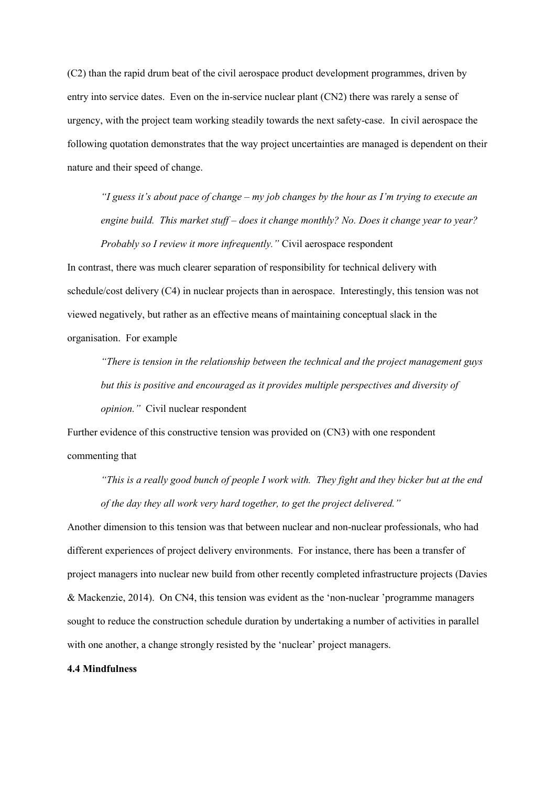(C2) than the rapid drum beat of the civil aerospace product development programmes, driven by entry into service dates. Even on the in-service nuclear plant (CN2) there was rarely a sense of urgency, with the project team working steadily towards the next safety-case. In civil aerospace the following quotation demonstrates that the way project uncertainties are managed is dependent on their nature and their speed of change.

*"I guess it's about pace of change – my job changes by the hour as I'm trying to execute an engine build. This market stuff – does it change monthly? No. Does it change year to year? Probably so I review it more infrequently."* Civil aerospace respondent

In contrast, there was much clearer separation of responsibility for technical delivery with schedule/cost delivery (C4) in nuclear projects than in aerospace. Interestingly, this tension was not viewed negatively, but rather as an effective means of maintaining conceptual slack in the organisation. For example

*"There is tension in the relationship between the technical and the project management guys but this is positive and encouraged as it provides multiple perspectives and diversity of opinion."* Civil nuclear respondent

Further evidence of this constructive tension was provided on (CN3) with one respondent commenting that

*"This is a really good bunch of people I work with. They fight and they bicker but at the end of the day they all work very hard together, to get the project delivered."* 

Another dimension to this tension was that between nuclear and non-nuclear professionals, who had different experiences of project delivery environments. For instance, there has been a transfer of project managers into nuclear new build from other recently completed infrastructure projects (Davies & Mackenzie, 2014). On CN4, this tension was evident as the 'non-nuclear 'programme managers sought to reduce the construction schedule duration by undertaking a number of activities in parallel with one another, a change strongly resisted by the 'nuclear' project managers.

### **4.4 Mindfulness**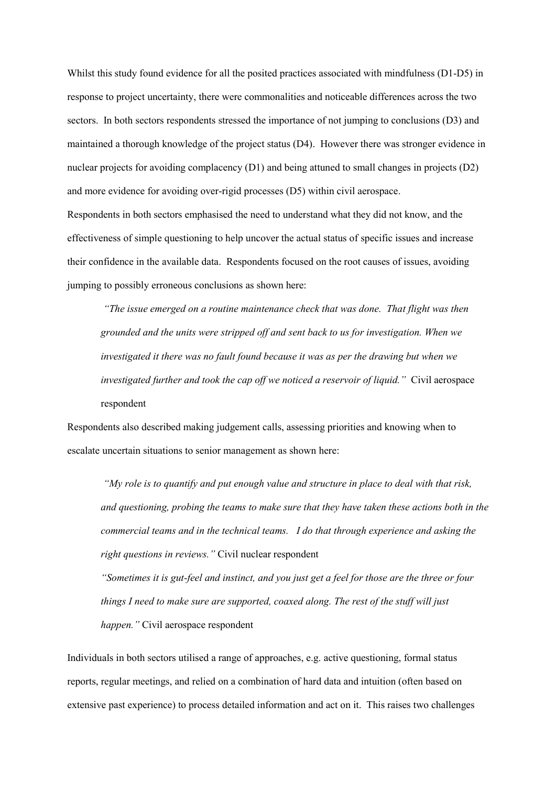Whilst this study found evidence for all the posited practices associated with mindfulness (D1-D5) in response to project uncertainty, there were commonalities and noticeable differences across the two sectors. In both sectors respondents stressed the importance of not jumping to conclusions (D3) and maintained a thorough knowledge of the project status (D4). However there was stronger evidence in nuclear projects for avoiding complacency (D1) and being attuned to small changes in projects (D2) and more evidence for avoiding over-rigid processes (D5) within civil aerospace.

Respondents in both sectors emphasised the need to understand what they did not know, and the effectiveness of simple questioning to help uncover the actual status of specific issues and increase their confidence in the available data. Respondents focused on the root causes of issues, avoiding jumping to possibly erroneous conclusions as shown here:

*"The issue emerged on a routine maintenance check that was done. That flight was then grounded and the units were stripped off and sent back to us for investigation. When we investigated it there was no fault found because it was as per the drawing but when we investigated further and took the cap off we noticed a reservoir of liquid."* Civil aerospace respondent

Respondents also described making judgement calls, assessing priorities and knowing when to escalate uncertain situations to senior management as shown here:

*"My role is to quantify and put enough value and structure in place to deal with that risk, and questioning, probing the teams to make sure that they have taken these actions both in the commercial teams and in the technical teams. I do that through experience and asking the right questions in reviews."* Civil nuclear respondent

*"Sometimes it is gut-feel and instinct, and you just get a feel for those are the three or four things I need to make sure are supported, coaxed along. The rest of the stuff will just happen."* Civil aerospace respondent

Individuals in both sectors utilised a range of approaches, e.g. active questioning, formal status reports, regular meetings, and relied on a combination of hard data and intuition (often based on extensive past experience) to process detailed information and act on it. This raises two challenges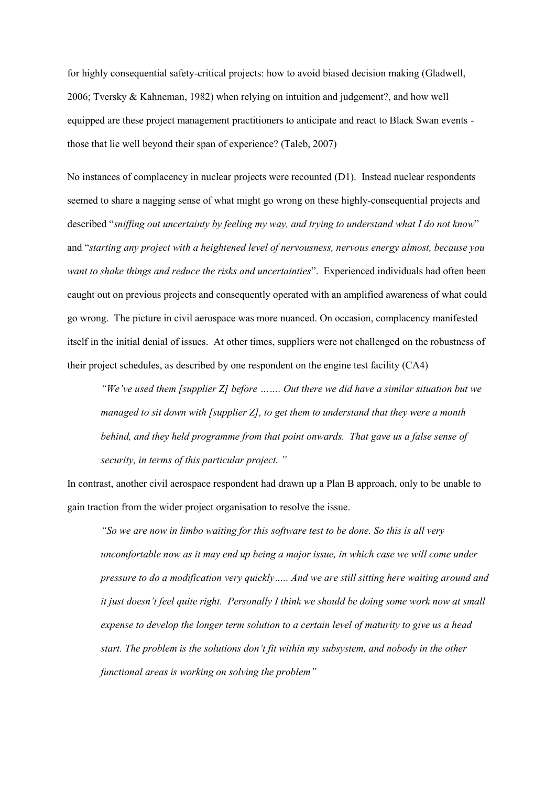for highly consequential safety-critical projects: how to avoid biased decision making (Gladwell, 2006; Tversky & Kahneman, 1982) when relying on intuition and judgement?, and how well equipped are these project management practitioners to anticipate and react to Black Swan events those that lie well beyond their span of experience? (Taleb, 2007)

No instances of complacency in nuclear projects were recounted (D1). Instead nuclear respondents seemed to share a nagging sense of what might go wrong on these highly-consequential projects and described "*sniffing out uncertainty by feeling my way, and trying to understand what I do not know*" and "*starting any project with a heightened level of nervousness, nervous energy almost, because you want to shake things and reduce the risks and uncertainties*". Experienced individuals had often been caught out on previous projects and consequently operated with an amplified awareness of what could go wrong. The picture in civil aerospace was more nuanced. On occasion, complacency manifested itself in the initial denial of issues. At other times, suppliers were not challenged on the robustness of their project schedules, as described by one respondent on the engine test facility (CA4)

*"We've used them [supplier Z] before ……. Out there we did have a similar situation but we managed to sit down with [supplier Z], to get them to understand that they were a month behind, and they held programme from that point onwards. That gave us a false sense of security, in terms of this particular project. "*

In contrast, another civil aerospace respondent had drawn up a Plan B approach, only to be unable to gain traction from the wider project organisation to resolve the issue.

*"So we are now in limbo waiting for this software test to be done. So this is all very uncomfortable now as it may end up being a major issue, in which case we will come under pressure to do a modification very quickly….. And we are still sitting here waiting around and it just doesn't feel quite right. Personally I think we should be doing some work now at small expense to develop the longer term solution to a certain level of maturity to give us a head start. The problem is the solutions don't fit within my subsystem, and nobody in the other functional areas is working on solving the problem"*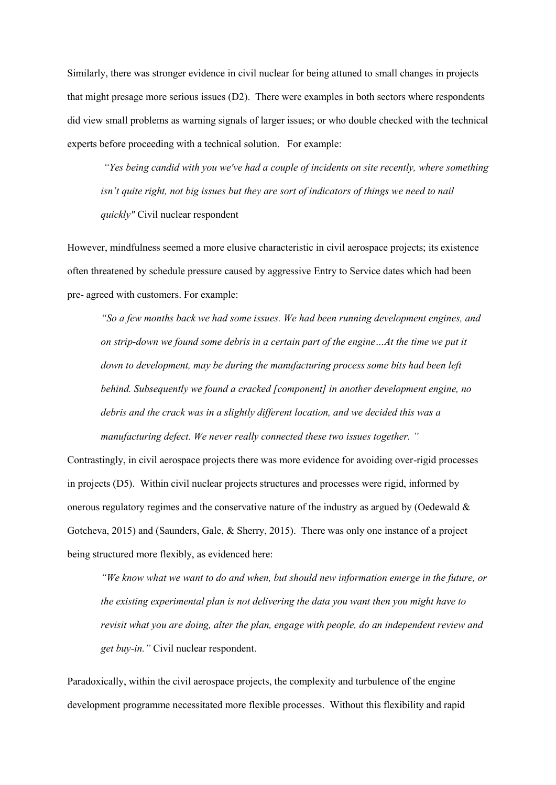Similarly, there was stronger evidence in civil nuclear for being attuned to small changes in projects that might presage more serious issues (D2). There were examples in both sectors where respondents did view small problems as warning signals of larger issues; or who double checked with the technical experts before proceeding with a technical solution. For example:

*"Yes being candid with you we've had a couple of incidents on site recently, where something isn't quite right, not big issues but they are sort of indicators of things we need to nail quickly"* Civil nuclear respondent

However, mindfulness seemed a more elusive characteristic in civil aerospace projects; its existence often threatened by schedule pressure caused by aggressive Entry to Service dates which had been pre- agreed with customers. For example:

*"So a few months back we had some issues. We had been running development engines, and on strip-down we found some debris in a certain part of the engine…At the time we put it down to development, may be during the manufacturing process some bits had been left behind. Subsequently we found a cracked [component] in another development engine, no debris and the crack was in a slightly different location, and we decided this was a manufacturing defect. We never really connected these two issues together. "* 

Contrastingly, in civil aerospace projects there was more evidence for avoiding over-rigid processes in projects (D5). Within civil nuclear projects structures and processes were rigid, informed by onerous regulatory regimes and the conservative nature of the industry as argued by (Oedewald  $\&$ Gotcheva, 2015) and (Saunders, Gale, & Sherry, 2015). There was only one instance of a project being structured more flexibly, as evidenced here:

*"We know what we want to do and when, but should new information emerge in the future, or the existing experimental plan is not delivering the data you want then you might have to revisit what you are doing, alter the plan, engage with people, do an independent review and get buy-in."* Civil nuclear respondent.

Paradoxically, within the civil aerospace projects, the complexity and turbulence of the engine development programme necessitated more flexible processes. Without this flexibility and rapid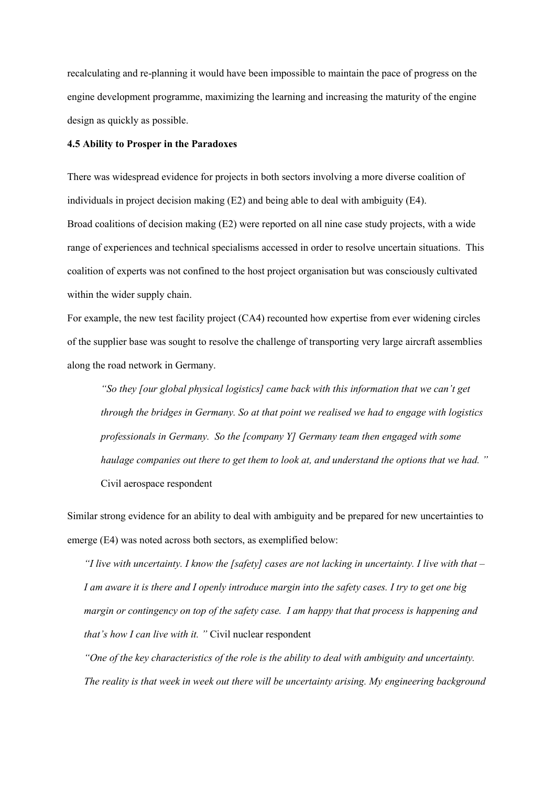recalculating and re-planning it would have been impossible to maintain the pace of progress on the engine development programme, maximizing the learning and increasing the maturity of the engine design as quickly as possible.

### **4.5 Ability to Prosper in the Paradoxes**

There was widespread evidence for projects in both sectors involving a more diverse coalition of individuals in project decision making (E2) and being able to deal with ambiguity (E4). Broad coalitions of decision making (E2) were reported on all nine case study projects, with a wide range of experiences and technical specialisms accessed in order to resolve uncertain situations. This coalition of experts was not confined to the host project organisation but was consciously cultivated within the wider supply chain.

For example, the new test facility project (CA4) recounted how expertise from ever widening circles of the supplier base was sought to resolve the challenge of transporting very large aircraft assemblies along the road network in Germany.

*"So they [our global physical logistics] came back with this information that we can't get through the bridges in Germany. So at that point we realised we had to engage with logistics professionals in Germany. So the [company Y] Germany team then engaged with some haulage companies out there to get them to look at, and understand the options that we had. "*  Civil aerospace respondent

Similar strong evidence for an ability to deal with ambiguity and be prepared for new uncertainties to emerge (E4) was noted across both sectors, as exemplified below:

*"I live with uncertainty. I know the [safety] cases are not lacking in uncertainty. I live with that – I am aware it is there and I openly introduce margin into the safety cases. I try to get one big margin or contingency on top of the safety case. I am happy that that process is happening and that's how I can live with it. "* Civil nuclear respondent

*"One of the key characteristics of the role is the ability to deal with ambiguity and uncertainty. The reality is that week in week out there will be uncertainty arising. My engineering background*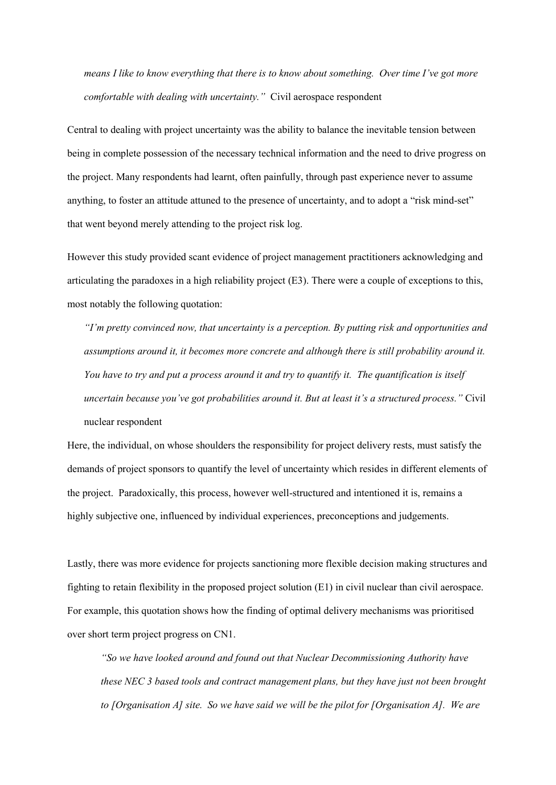*means I like to know everything that there is to know about something. Over time I've got more comfortable with dealing with uncertainty."* Civil aerospace respondent

Central to dealing with project uncertainty was the ability to balance the inevitable tension between being in complete possession of the necessary technical information and the need to drive progress on the project. Many respondents had learnt, often painfully, through past experience never to assume anything, to foster an attitude attuned to the presence of uncertainty, and to adopt a "risk mind-set" that went beyond merely attending to the project risk log.

However this study provided scant evidence of project management practitioners acknowledging and articulating the paradoxes in a high reliability project (E3). There were a couple of exceptions to this, most notably the following quotation:

*"I'm pretty convinced now, that uncertainty is a perception. By putting risk and opportunities and assumptions around it, it becomes more concrete and although there is still probability around it. You have to try and put a process around it and try to quantify it. The quantification is itself uncertain because you've got probabilities around it. But at least it's a structured process."* Civil nuclear respondent

Here, the individual, on whose shoulders the responsibility for project delivery rests, must satisfy the demands of project sponsors to quantify the level of uncertainty which resides in different elements of the project. Paradoxically, this process, however well-structured and intentioned it is, remains a highly subjective one, influenced by individual experiences, preconceptions and judgements.

Lastly, there was more evidence for projects sanctioning more flexible decision making structures and fighting to retain flexibility in the proposed project solution (E1) in civil nuclear than civil aerospace. For example, this quotation shows how the finding of optimal delivery mechanisms was prioritised over short term project progress on CN1.

*"So we have looked around and found out that Nuclear Decommissioning Authority have these NEC 3 based tools and contract management plans, but they have just not been brought to [Organisation A] site. So we have said we will be the pilot for [Organisation A]. We are*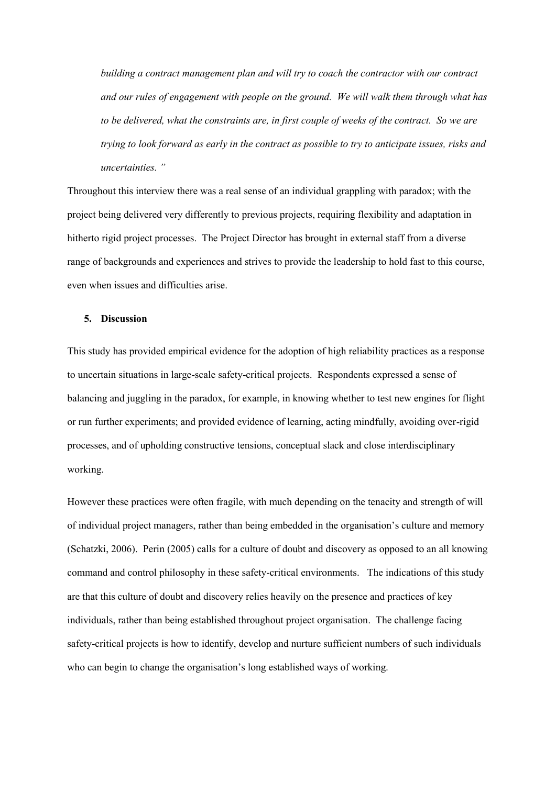*building a contract management plan and will try to coach the contractor with our contract and our rules of engagement with people on the ground. We will walk them through what has to be delivered, what the constraints are, in first couple of weeks of the contract. So we are trying to look forward as early in the contract as possible to try to anticipate issues, risks and uncertainties. "* 

Throughout this interview there was a real sense of an individual grappling with paradox; with the project being delivered very differently to previous projects, requiring flexibility and adaptation in hitherto rigid project processes. The Project Director has brought in external staff from a diverse range of backgrounds and experiences and strives to provide the leadership to hold fast to this course, even when issues and difficulties arise.

### **5. Discussion**

This study has provided empirical evidence for the adoption of high reliability practices as a response to uncertain situations in large-scale safety-critical projects. Respondents expressed a sense of balancing and juggling in the paradox, for example, in knowing whether to test new engines for flight or run further experiments; and provided evidence of learning, acting mindfully, avoiding over-rigid processes, and of upholding constructive tensions, conceptual slack and close interdisciplinary working.

However these practices were often fragile, with much depending on the tenacity and strength of will of individual project managers, rather than being embedded in the organisation's culture and memory (Schatzki, 2006). Perin (2005) calls for a culture of doubt and discovery as opposed to an all knowing command and control philosophy in these safety-critical environments. The indications of this study are that this culture of doubt and discovery relies heavily on the presence and practices of key individuals, rather than being established throughout project organisation. The challenge facing safety-critical projects is how to identify, develop and nurture sufficient numbers of such individuals who can begin to change the organisation's long established ways of working.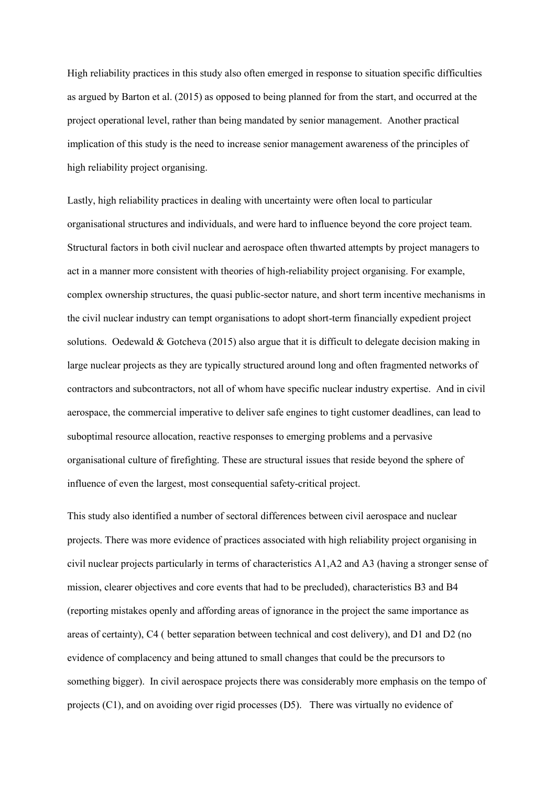High reliability practices in this study also often emerged in response to situation specific difficulties as argued by Barton et al. (2015) as opposed to being planned for from the start, and occurred at the project operational level, rather than being mandated by senior management. Another practical implication of this study is the need to increase senior management awareness of the principles of high reliability project organising.

Lastly, high reliability practices in dealing with uncertainty were often local to particular organisational structures and individuals, and were hard to influence beyond the core project team. Structural factors in both civil nuclear and aerospace often thwarted attempts by project managers to act in a manner more consistent with theories of high-reliability project organising. For example, complex ownership structures, the quasi public-sector nature, and short term incentive mechanisms in the civil nuclear industry can tempt organisations to adopt short-term financially expedient project solutions. Oedewald & Gotcheva (2015) also argue that it is difficult to delegate decision making in large nuclear projects as they are typically structured around long and often fragmented networks of contractors and subcontractors, not all of whom have specific nuclear industry expertise. And in civil aerospace, the commercial imperative to deliver safe engines to tight customer deadlines, can lead to suboptimal resource allocation, reactive responses to emerging problems and a pervasive organisational culture of firefighting. These are structural issues that reside beyond the sphere of influence of even the largest, most consequential safety-critical project.

This study also identified a number of sectoral differences between civil aerospace and nuclear projects. There was more evidence of practices associated with high reliability project organising in civil nuclear projects particularly in terms of characteristics A1,A2 and A3 (having a stronger sense of mission, clearer objectives and core events that had to be precluded), characteristics B3 and B4 (reporting mistakes openly and affording areas of ignorance in the project the same importance as areas of certainty), C4 ( better separation between technical and cost delivery), and D1 and D2 (no evidence of complacency and being attuned to small changes that could be the precursors to something bigger). In civil aerospace projects there was considerably more emphasis on the tempo of projects (C1), and on avoiding over rigid processes (D5). There was virtually no evidence of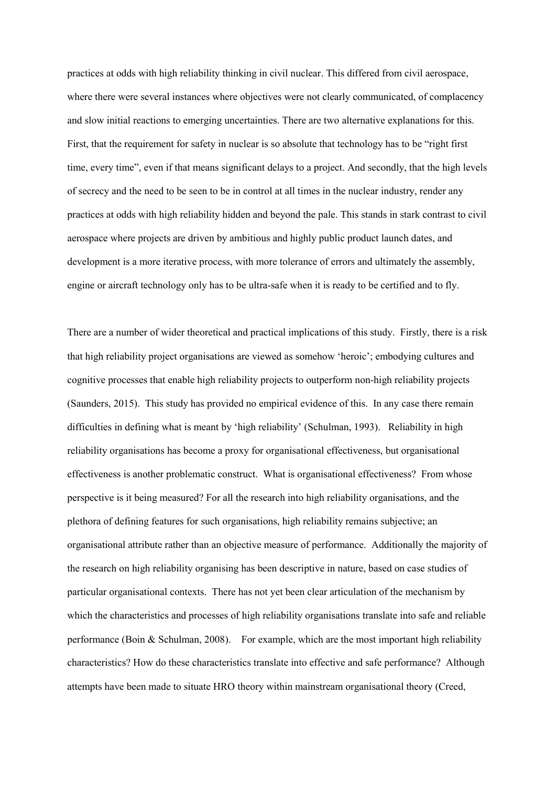practices at odds with high reliability thinking in civil nuclear. This differed from civil aerospace, where there were several instances where objectives were not clearly communicated, of complacency and slow initial reactions to emerging uncertainties. There are two alternative explanations for this. First, that the requirement for safety in nuclear is so absolute that technology has to be "right first time, every time", even if that means significant delays to a project. And secondly, that the high levels of secrecy and the need to be seen to be in control at all times in the nuclear industry, render any practices at odds with high reliability hidden and beyond the pale. This stands in stark contrast to civil aerospace where projects are driven by ambitious and highly public product launch dates, and development is a more iterative process, with more tolerance of errors and ultimately the assembly, engine or aircraft technology only has to be ultra-safe when it is ready to be certified and to fly.

There are a number of wider theoretical and practical implications of this study. Firstly, there is a risk that high reliability project organisations are viewed as somehow 'heroic'; embodying cultures and cognitive processes that enable high reliability projects to outperform non-high reliability projects (Saunders, 2015). This study has provided no empirical evidence of this. In any case there remain difficulties in defining what is meant by 'high reliability' (Schulman, 1993). Reliability in high reliability organisations has become a proxy for organisational effectiveness, but organisational effectiveness is another problematic construct. What is organisational effectiveness? From whose perspective is it being measured? For all the research into high reliability organisations, and the plethora of defining features for such organisations, high reliability remains subjective; an organisational attribute rather than an objective measure of performance. Additionally the majority of the research on high reliability organising has been descriptive in nature, based on case studies of particular organisational contexts. There has not yet been clear articulation of the mechanism by which the characteristics and processes of high reliability organisations translate into safe and reliable performance (Boin  $&$  Schulman, 2008). For example, which are the most important high reliability characteristics? How do these characteristics translate into effective and safe performance? Although attempts have been made to situate HRO theory within mainstream organisational theory (Creed,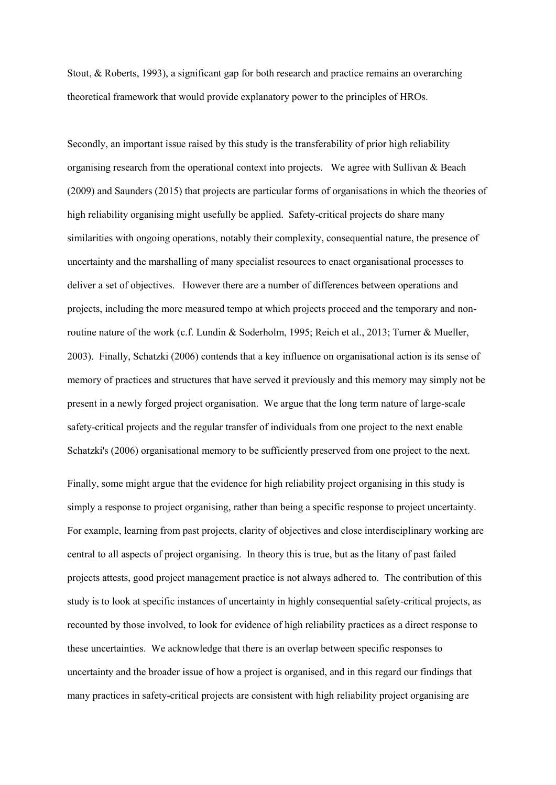Stout, & Roberts, 1993), a significant gap for both research and practice remains an overarching theoretical framework that would provide explanatory power to the principles of HROs.

Secondly, an important issue raised by this study is the transferability of prior high reliability organising research from the operational context into projects. We agree with Sullivan & Beach (2009) and Saunders (2015) that projects are particular forms of organisations in which the theories of high reliability organising might usefully be applied. Safety-critical projects do share many similarities with ongoing operations, notably their complexity, consequential nature, the presence of uncertainty and the marshalling of many specialist resources to enact organisational processes to deliver a set of objectives. However there are a number of differences between operations and projects, including the more measured tempo at which projects proceed and the temporary and nonroutine nature of the work (c.f. Lundin & Soderholm, 1995; Reich et al., 2013; Turner & Mueller, 2003). Finally, Schatzki (2006) contends that a key influence on organisational action is its sense of memory of practices and structures that have served it previously and this memory may simply not be present in a newly forged project organisation. We argue that the long term nature of large-scale safety-critical projects and the regular transfer of individuals from one project to the next enable Schatzki's (2006) organisational memory to be sufficiently preserved from one project to the next.

Finally, some might argue that the evidence for high reliability project organising in this study is simply a response to project organising, rather than being a specific response to project uncertainty. For example, learning from past projects, clarity of objectives and close interdisciplinary working are central to all aspects of project organising. In theory this is true, but as the litany of past failed projects attests, good project management practice is not always adhered to. The contribution of this study is to look at specific instances of uncertainty in highly consequential safety-critical projects, as recounted by those involved, to look for evidence of high reliability practices as a direct response to these uncertainties. We acknowledge that there is an overlap between specific responses to uncertainty and the broader issue of how a project is organised, and in this regard our findings that many practices in safety-critical projects are consistent with high reliability project organising are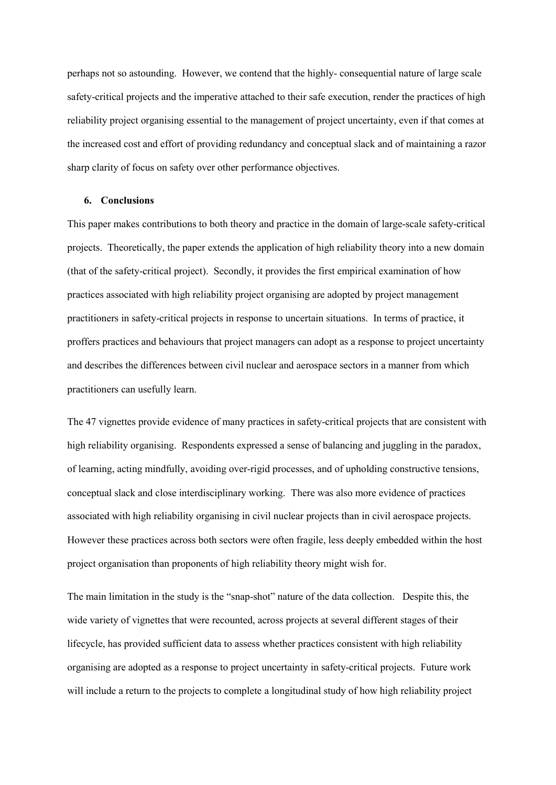perhaps not so astounding. However, we contend that the highly- consequential nature of large scale safety-critical projects and the imperative attached to their safe execution, render the practices of high reliability project organising essential to the management of project uncertainty, even if that comes at the increased cost and effort of providing redundancy and conceptual slack and of maintaining a razor sharp clarity of focus on safety over other performance objectives.

## **6. Conclusions**

This paper makes contributions to both theory and practice in the domain of large-scale safety-critical projects. Theoretically, the paper extends the application of high reliability theory into a new domain (that of the safety-critical project). Secondly, it provides the first empirical examination of how practices associated with high reliability project organising are adopted by project management practitioners in safety-critical projects in response to uncertain situations. In terms of practice, it proffers practices and behaviours that project managers can adopt as a response to project uncertainty and describes the differences between civil nuclear and aerospace sectors in a manner from which practitioners can usefully learn.

The 47 vignettes provide evidence of many practices in safety-critical projects that are consistent with high reliability organising. Respondents expressed a sense of balancing and juggling in the paradox, of learning, acting mindfully, avoiding over-rigid processes, and of upholding constructive tensions, conceptual slack and close interdisciplinary working. There was also more evidence of practices associated with high reliability organising in civil nuclear projects than in civil aerospace projects. However these practices across both sectors were often fragile, less deeply embedded within the host project organisation than proponents of high reliability theory might wish for.

The main limitation in the study is the "snap-shot" nature of the data collection. Despite this, the wide variety of vignettes that were recounted, across projects at several different stages of their lifecycle, has provided sufficient data to assess whether practices consistent with high reliability organising are adopted as a response to project uncertainty in safety-critical projects. Future work will include a return to the projects to complete a longitudinal study of how high reliability project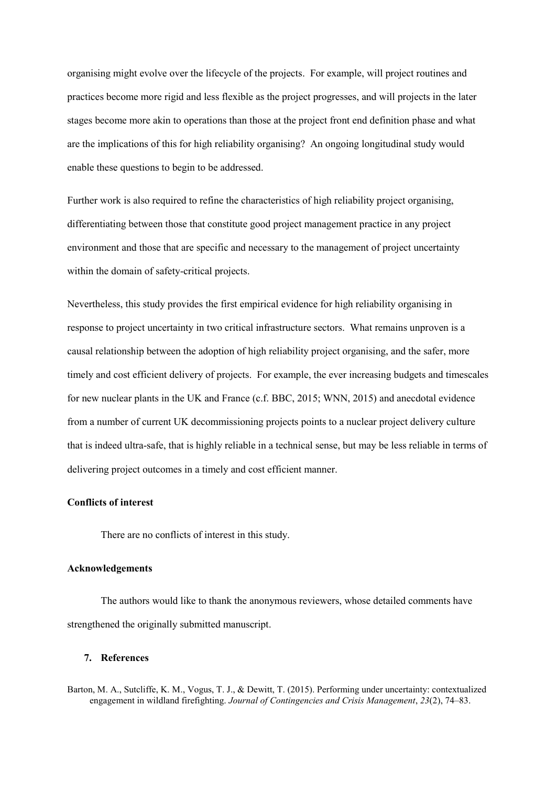organising might evolve over the lifecycle of the projects. For example, will project routines and practices become more rigid and less flexible as the project progresses, and will projects in the later stages become more akin to operations than those at the project front end definition phase and what are the implications of this for high reliability organising? An ongoing longitudinal study would enable these questions to begin to be addressed.

Further work is also required to refine the characteristics of high reliability project organising. differentiating between those that constitute good project management practice in any project environment and those that are specific and necessary to the management of project uncertainty within the domain of safety-critical projects.

Nevertheless, this study provides the first empirical evidence for high reliability organising in response to project uncertainty in two critical infrastructure sectors. What remains unproven is a causal relationship between the adoption of high reliability project organising, and the safer, more timely and cost efficient delivery of projects. For example, the ever increasing budgets and timescales for new nuclear plants in the UK and France (c.f. BBC, 2015; WNN, 2015) and anecdotal evidence from a number of current UK decommissioning projects points to a nuclear project delivery culture that is indeed ultra-safe, that is highly reliable in a technical sense, but may be less reliable in terms of delivering project outcomes in a timely and cost efficient manner.

### **Conflicts of interest**

There are no conflicts of interest in this study.

## **Acknowledgements**

The authors would like to thank the anonymous reviewers, whose detailed comments have strengthened the originally submitted manuscript.

# **7. References**

Barton, M. A., Sutcliffe, K. M., Vogus, T. J., & Dewitt, T. (2015). Performing under uncertainty: contextualized engagement in wildland firefighting. *Journal of Contingencies and Crisis Management*, *23*(2), 74–83.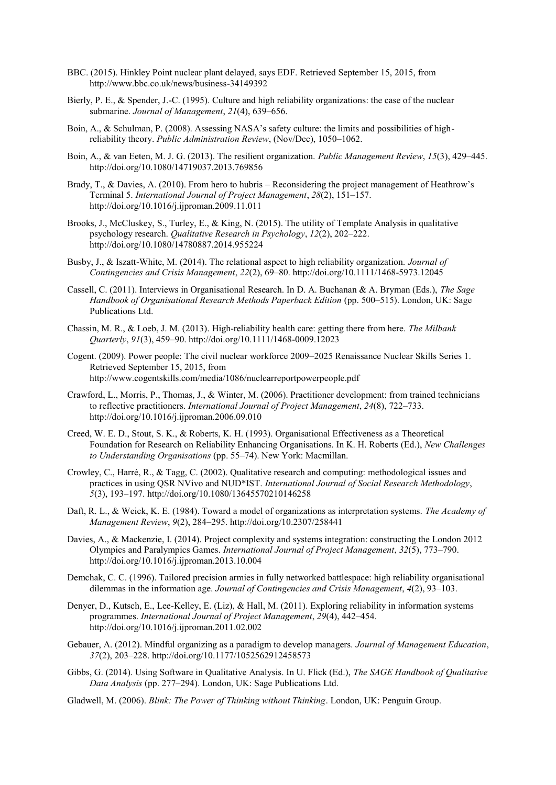- BBC. (2015). Hinkley Point nuclear plant delayed, says EDF. Retrieved September 15, 2015, from http://www.bbc.co.uk/news/business-34149392
- Bierly, P. E., & Spender, J.-C. (1995). Culture and high reliability organizations: the case of the nuclear submarine. *Journal of Management*, *21*(4), 639–656.
- Boin, A., & Schulman, P. (2008). Assessing NASA's safety culture: the limits and possibilities of highreliability theory. *Public Administration Review*, (Nov/Dec), 1050–1062.
- Boin, A., & van Eeten, M. J. G. (2013). The resilient organization. *Public Management Review*, *15*(3), 429–445. http://doi.org/10.1080/14719037.2013.769856
- Brady, T., & Davies, A. (2010). From hero to hubris Reconsidering the project management of Heathrow's Terminal 5. *International Journal of Project Management*, *28*(2), 151–157. http://doi.org/10.1016/j.ijproman.2009.11.011
- Brooks, J., McCluskey, S., Turley, E., & King, N. (2015). The utility of Template Analysis in qualitative psychology research. *Qualitative Research in Psychology*, *12*(2), 202–222. http://doi.org/10.1080/14780887.2014.955224
- Busby, J., & Iszatt-White, M. (2014). The relational aspect to high reliability organization. *Journal of Contingencies and Crisis Management*, *22*(2), 69–80. http://doi.org/10.1111/1468-5973.12045
- Cassell, C. (2011). Interviews in Organisational Research. In D. A. Buchanan & A. Bryman (Eds.), *The Sage Handbook of Organisational Research Methods Paperback Edition* (pp. 500–515). London, UK: Sage Publications Ltd.
- Chassin, M. R., & Loeb, J. M. (2013). High-reliability health care: getting there from here. *The Milbank Quarterly*, *91*(3), 459–90. http://doi.org/10.1111/1468-0009.12023
- Cogent. (2009). Power people: The civil nuclear workforce 2009–2025 Renaissance Nuclear Skills Series 1. Retrieved September 15, 2015, from http://www.cogentskills.com/media/1086/nuclearreportpowerpeople.pdf
- Crawford, L., Morris, P., Thomas, J., & Winter, M. (2006). Practitioner development: from trained technicians to reflective practitioners. *International Journal of Project Management*, *24*(8), 722–733. http://doi.org/10.1016/j.ijproman.2006.09.010
- Creed, W. E. D., Stout, S. K., & Roberts, K. H. (1993). Organisational Effectiveness as a Theoretical Foundation for Research on Reliability Enhancing Organisations. In K. H. Roberts (Ed.), *New Challenges to Understanding Organisations* (pp. 55–74). New York: Macmillan.
- Crowley, C., Harré, R., & Tagg, C. (2002). Qualitative research and computing: methodological issues and practices in using QSR NVivo and NUD\*IST. *International Journal of Social Research Methodology*, *5*(3), 193–197. http://doi.org/10.1080/13645570210146258
- Daft, R. L., & Weick, K. E. (1984). Toward a model of organizations as interpretation systems. *The Academy of Management Review*, *9*(2), 284–295. http://doi.org/10.2307/258441
- Davies, A., & Mackenzie, I. (2014). Project complexity and systems integration: constructing the London 2012 Olympics and Paralympics Games. *International Journal of Project Management*, *32*(5), 773–790. http://doi.org/10.1016/j.ijproman.2013.10.004
- Demchak, C. C. (1996). Tailored precision armies in fully networked battlespace: high reliability organisational dilemmas in the information age. *Journal of Contingencies and Crisis Management*, *4*(2), 93–103.
- Denyer, D., Kutsch, E., Lee-Kelley, E. (Liz), & Hall, M. (2011). Exploring reliability in information systems programmes. *International Journal of Project Management*, *29*(4), 442–454. http://doi.org/10.1016/j.ijproman.2011.02.002
- Gebauer, A. (2012). Mindful organizing as a paradigm to develop managers. *Journal of Management Education*, *37*(2), 203–228. http://doi.org/10.1177/1052562912458573
- Gibbs, G. (2014). Using Software in Qualitative Analysis. In U. Flick (Ed.), *The SAGE Handbook of Qualitative Data Analysis* (pp. 277–294). London, UK: Sage Publications Ltd.
- Gladwell, M. (2006). *Blink: The Power of Thinking without Thinking*. London, UK: Penguin Group.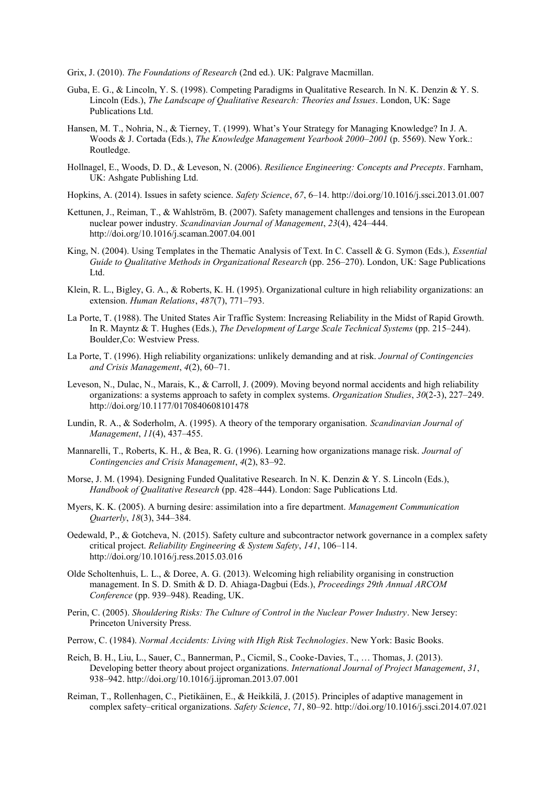Grix, J. (2010). *The Foundations of Research* (2nd ed.). UK: Palgrave Macmillan.

- Guba, E. G., & Lincoln, Y. S. (1998). Competing Paradigms in Qualitative Research. In N. K. Denzin & Y. S. Lincoln (Eds.), *The Landscape of Qualitative Research: Theories and Issues*. London, UK: Sage Publications Ltd.
- Hansen, M. T., Nohria, N., & Tierney, T. (1999). What's Your Strategy for Managing Knowledge? In J. A. Woods & J. Cortada (Eds.), *The Knowledge Management Yearbook 2000–2001* (p. 5569). New York.: Routledge.
- Hollnagel, E., Woods, D. D., & Leveson, N. (2006). *Resilience Engineering: Concepts and Precepts*. Farnham, UK: Ashgate Publishing Ltd.
- Hopkins, A. (2014). Issues in safety science. *Safety Science*, *67*, 6–14. http://doi.org/10.1016/j.ssci.2013.01.007
- Kettunen, J., Reiman, T., & Wahlström, B. (2007). Safety management challenges and tensions in the European nuclear power industry. *Scandinavian Journal of Management*, *23*(4), 424–444. http://doi.org/10.1016/j.scaman.2007.04.001
- King, N. (2004). Using Templates in the Thematic Analysis of Text. In C. Cassell & G. Symon (Eds.), *Essential Guide to Qualitative Methods in Organizational Research* (pp. 256–270). London, UK: Sage Publications Ltd.
- Klein, R. L., Bigley, G. A., & Roberts, K. H. (1995). Organizational culture in high reliability organizations: an extension. *Human Relations*, *487*(7), 771–793.
- La Porte, T. (1988). The United States Air Traffic System: Increasing Reliability in the Midst of Rapid Growth. In R. Mayntz & T. Hughes (Eds.), *The Development of Large Scale Technical Systems* (pp. 215–244). Boulder,Co: Westview Press.
- La Porte, T. (1996). High reliability organizations: unlikely demanding and at risk. *Journal of Contingencies and Crisis Management*, *4*(2), 60–71.
- Leveson, N., Dulac, N., Marais, K., & Carroll, J. (2009). Moving beyond normal accidents and high reliability organizations: a systems approach to safety in complex systems. *Organization Studies*, *30*(2-3), 227–249. http://doi.org/10.1177/0170840608101478
- Lundin, R. A., & Soderholm, A. (1995). A theory of the temporary organisation. *Scandinavian Journal of Management*, *11*(4), 437–455.
- Mannarelli, T., Roberts, K. H., & Bea, R. G. (1996). Learning how organizations manage risk. *Journal of Contingencies and Crisis Management*, *4*(2), 83–92.
- Morse, J. M. (1994). Designing Funded Qualitative Research. In N. K. Denzin & Y. S. Lincoln (Eds.), *Handbook of Qualitative Research* (pp. 428–444). London: Sage Publications Ltd.
- Myers, K. K. (2005). A burning desire: assimilation into a fire department. *Management Communication Quarterly*, *18*(3), 344–384.
- Oedewald, P., & Gotcheva, N. (2015). Safety culture and subcontractor network governance in a complex safety critical project. *Reliability Engineering & System Safety*, *141*, 106–114. http://doi.org/10.1016/j.ress.2015.03.016
- Olde Scholtenhuis, L. L., & Doree, A. G. (2013). Welcoming high reliability organising in construction management. In S. D. Smith & D. D. Ahiaga-Dagbui (Eds.), *Proceedings 29th Annual ARCOM Conference* (pp. 939–948). Reading, UK.
- Perin, C. (2005). *Shouldering Risks: The Culture of Control in the Nuclear Power Industry*. New Jersey: Princeton University Press.
- Perrow, C. (1984). *Normal Accidents: Living with High Risk Technologies*. New York: Basic Books.
- Reich, B. H., Liu, L., Sauer, C., Bannerman, P., Cicmil, S., Cooke-Davies, T., … Thomas, J. (2013). Developing better theory about project organizations. *International Journal of Project Management*, *31*, 938–942. http://doi.org/10.1016/j.ijproman.2013.07.001
- Reiman, T., Rollenhagen, C., Pietikäinen, E., & Heikkilä, J. (2015). Principles of adaptive management in complex safety–critical organizations. *Safety Science*, *71*, 80–92. http://doi.org/10.1016/j.ssci.2014.07.021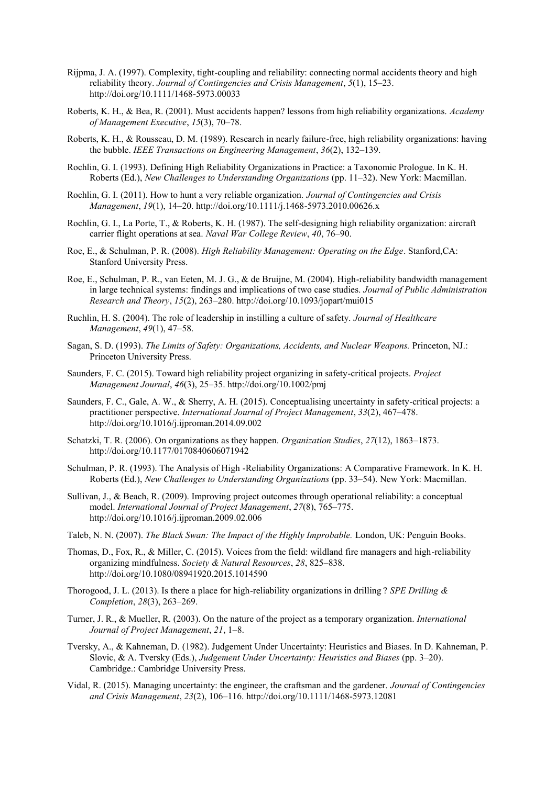- Rijpma, J. A. (1997). Complexity, tight-coupling and reliability: connecting normal accidents theory and high reliability theory. *Journal of Contingencies and Crisis Management*, *5*(1), 15–23. http://doi.org/10.1111/1468-5973.00033
- Roberts, K. H., & Bea, R. (2001). Must accidents happen? lessons from high reliability organizations. *Academy of Management Executive*, *15*(3), 70–78.
- Roberts, K. H., & Rousseau, D. M. (1989). Research in nearly failure-free, high reliability organizations: having the bubble. *IEEE Transactions on Engineering Management*, *36*(2), 132–139.
- Rochlin, G. I. (1993). Defining High Reliability Organizations in Practice: a Taxonomic Prologue. In K. H. Roberts (Ed.), *New Challenges to Understanding Organizations* (pp. 11–32). New York: Macmillan.
- Rochlin, G. I. (2011). How to hunt a very reliable organization. *Journal of Contingencies and Crisis Management*, *19*(1), 14–20. http://doi.org/10.1111/j.1468-5973.2010.00626.x
- Rochlin, G. I., La Porte, T., & Roberts, K. H. (1987). The self-designing high reliability organization: aircraft carrier flight operations at sea. *Naval War College Review*, *40*, 76–90.
- Roe, E., & Schulman, P. R. (2008). *High Reliability Management: Operating on the Edge*. Stanford,CA: Stanford University Press.
- Roe, E., Schulman, P. R., van Eeten, M. J. G., & de Bruijne, M. (2004). High-reliability bandwidth management in large technical systems: findings and implications of two case studies. *Journal of Public Administration Research and Theory*, *15*(2), 263–280. http://doi.org/10.1093/jopart/mui015
- Ruchlin, H. S. (2004). The role of leadership in instilling a culture of safety. *Journal of Healthcare Management*, *49*(1), 47–58.
- Sagan, S. D. (1993). *The Limits of Safety: Organizations, Accidents, and Nuclear Weapons.* Princeton, NJ.: Princeton University Press.
- Saunders, F. C. (2015). Toward high reliability project organizing in safety-critical projects. *Project Management Journal*, *46*(3), 25–35. http://doi.org/10.1002/pmj
- Saunders, F. C., Gale, A. W., & Sherry, A. H. (2015). Conceptualising uncertainty in safety-critical projects: a practitioner perspective. *International Journal of Project Management*, *33*(2), 467–478. http://doi.org/10.1016/j.ijproman.2014.09.002
- Schatzki, T. R. (2006). On organizations as they happen. *Organization Studies*, *27*(12), 1863–1873. http://doi.org/10.1177/0170840606071942
- Schulman, P. R. (1993). The Analysis of High -Reliability Organizations: A Comparative Framework. In K. H. Roberts (Ed.), *New Challenges to Understanding Organizations* (pp. 33–54). New York: Macmillan.
- Sullivan, J., & Beach, R. (2009). Improving project outcomes through operational reliability: a conceptual model. *International Journal of Project Management*, *27*(8), 765–775. http://doi.org/10.1016/j.ijproman.2009.02.006
- Taleb, N. N. (2007). *The Black Swan: The Impact of the Highly Improbable.* London, UK: Penguin Books.
- Thomas, D., Fox, R., & Miller, C. (2015). Voices from the field: wildland fire managers and high-reliability organizing mindfulness. *Society & Natural Resources*, *28*, 825–838. http://doi.org/10.1080/08941920.2015.1014590
- Thorogood, J. L. (2013). Is there a place for high-reliability organizations in drilling ? *SPE Drilling & Completion*, *28*(3), 263–269.
- Turner, J. R., & Mueller, R. (2003). On the nature of the project as a temporary organization. *International Journal of Project Management*, *21*, 1–8.
- Tversky, A., & Kahneman, D. (1982). Judgement Under Uncertainty: Heuristics and Biases. In D. Kahneman, P. Slovic, & A. Tversky (Eds.), *Judgement Under Uncertainty: Heuristics and Biases* (pp. 3–20). Cambridge.: Cambridge University Press.
- Vidal, R. (2015). Managing uncertainty: the engineer, the craftsman and the gardener. *Journal of Contingencies and Crisis Management*, *23*(2), 106–116. http://doi.org/10.1111/1468-5973.12081